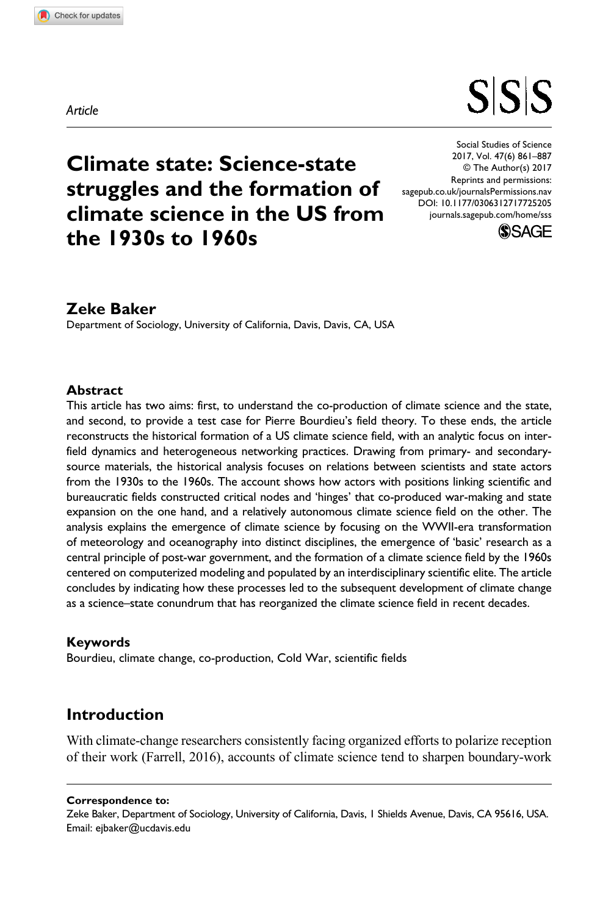**7252[05](http://crossmark.crossref.org/dialog/?doi=10.1177%2F0306312717725205&domain=pdf&date_stamp=2017-08-21)**SSS0010.1177/0306312717725205Social Studies of Science**Baker**

*Article*

 $S|S|S$ 

# **Climate state: Science-state struggles and the formation of climate science in the US from the 1930s to 1960s**

DOI: 10.1177/0306312717725205 Social Studies of Science 2017, Vol. 47(6) 861–887 © The Author(s) 2017 Reprints and permissions: [sagepub.co.uk/journalsPermissions.nav](https://uk.sagepub.com/en-gb/journals-permissions) [journals.sagepub.com/home/sss](https://journals.sagepub.com/home/sss)



## **Zeke Baker**

Department of Sociology, University of California, Davis, Davis, CA, USA

#### **Abstract**

This article has two aims: first, to understand the co-production of climate science and the state, and second, to provide a test case for Pierre Bourdieu's field theory. To these ends, the article reconstructs the historical formation of a US climate science field, with an analytic focus on interfield dynamics and heterogeneous networking practices. Drawing from primary- and secondarysource materials, the historical analysis focuses on relations between scientists and state actors from the 1930s to the 1960s. The account shows how actors with positions linking scientific and bureaucratic fields constructed critical nodes and 'hinges' that co-produced war-making and state expansion on the one hand, and a relatively autonomous climate science field on the other. The analysis explains the emergence of climate science by focusing on the WWII-era transformation of meteorology and oceanography into distinct disciplines, the emergence of 'basic' research as a central principle of post-war government, and the formation of a climate science field by the 1960s centered on computerized modeling and populated by an interdisciplinary scientific elite. The article concludes by indicating how these processes led to the subsequent development of climate change as a science–state conundrum that has reorganized the climate science field in recent decades.

## **Keywords**

Bourdieu, climate change, co-production, Cold War, scientific fields

# **Introduction**

With climate-change researchers consistently facing organized efforts to polarize reception of their work (Farrell, 2016), accounts of climate science tend to sharpen boundary-work

**Correspondence to:**

Zeke Baker, Department of Sociology, University of California, Davis, 1 Shields Avenue, Davis, CA 95616, USA. Email: [ejbaker@ucdavis.edu](mailto:ejbaker@ucdavis.edu)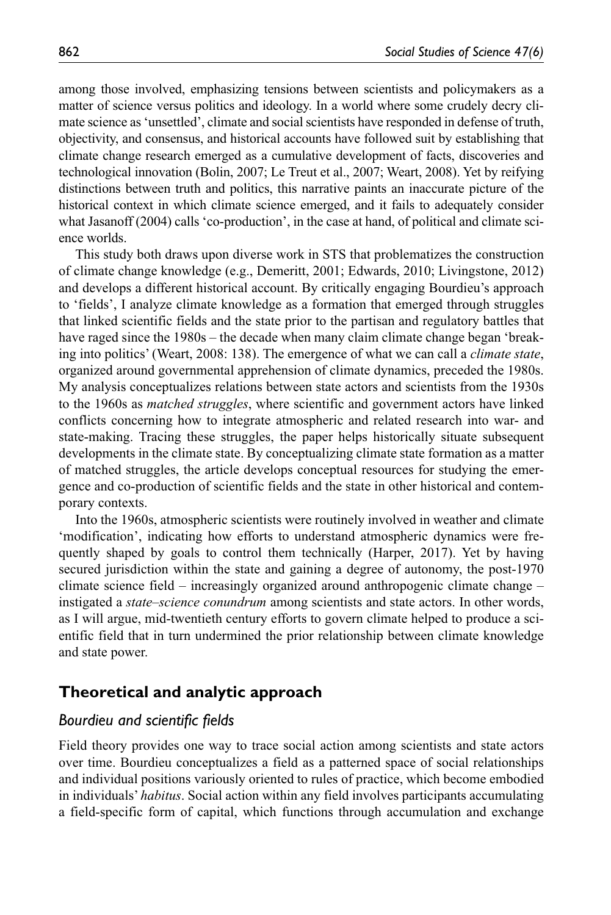among those involved, emphasizing tensions between scientists and policymakers as a matter of science versus politics and ideology. In a world where some crudely decry climate science as 'unsettled', climate and social scientists have responded in defense of truth, objectivity, and consensus, and historical accounts have followed suit by establishing that climate change research emerged as a cumulative development of facts, discoveries and technological innovation (Bolin, 2007; Le Treut et al., 2007; Weart, 2008). Yet by reifying distinctions between truth and politics, this narrative paints an inaccurate picture of the historical context in which climate science emerged, and it fails to adequately consider what Jasanoff (2004) calls 'co-production', in the case at hand, of political and climate science worlds.

This study both draws upon diverse work in STS that problematizes the construction of climate change knowledge (e.g., Demeritt, 2001; Edwards, 2010; Livingstone, 2012) and develops a different historical account. By critically engaging Bourdieu's approach to 'fields', I analyze climate knowledge as a formation that emerged through struggles that linked scientific fields and the state prior to the partisan and regulatory battles that have raged since the 1980s – the decade when many claim climate change began 'breaking into politics' (Weart, 2008: 138). The emergence of what we can call a *climate state*, organized around governmental apprehension of climate dynamics, preceded the 1980s. My analysis conceptualizes relations between state actors and scientists from the 1930s to the 1960s as *matched struggles*, where scientific and government actors have linked conflicts concerning how to integrate atmospheric and related research into war- and state-making. Tracing these struggles, the paper helps historically situate subsequent developments in the climate state. By conceptualizing climate state formation as a matter of matched struggles, the article develops conceptual resources for studying the emergence and co-production of scientific fields and the state in other historical and contemporary contexts.

Into the 1960s, atmospheric scientists were routinely involved in weather and climate 'modification', indicating how efforts to understand atmospheric dynamics were frequently shaped by goals to control them technically (Harper, 2017). Yet by having secured jurisdiction within the state and gaining a degree of autonomy, the post-1970 climate science field – increasingly organized around anthropogenic climate change – instigated a *state–science conundrum* among scientists and state actors. In other words, as I will argue, mid-twentieth century efforts to govern climate helped to produce a scientific field that in turn undermined the prior relationship between climate knowledge and state power.

## **Theoretical and analytic approach**

## *Bourdieu and scientific fields*

Field theory provides one way to trace social action among scientists and state actors over time. Bourdieu conceptualizes a field as a patterned space of social relationships and individual positions variously oriented to rules of practice, which become embodied in individuals' *habitus*. Social action within any field involves participants accumulating a field-specific form of capital, which functions through accumulation and exchange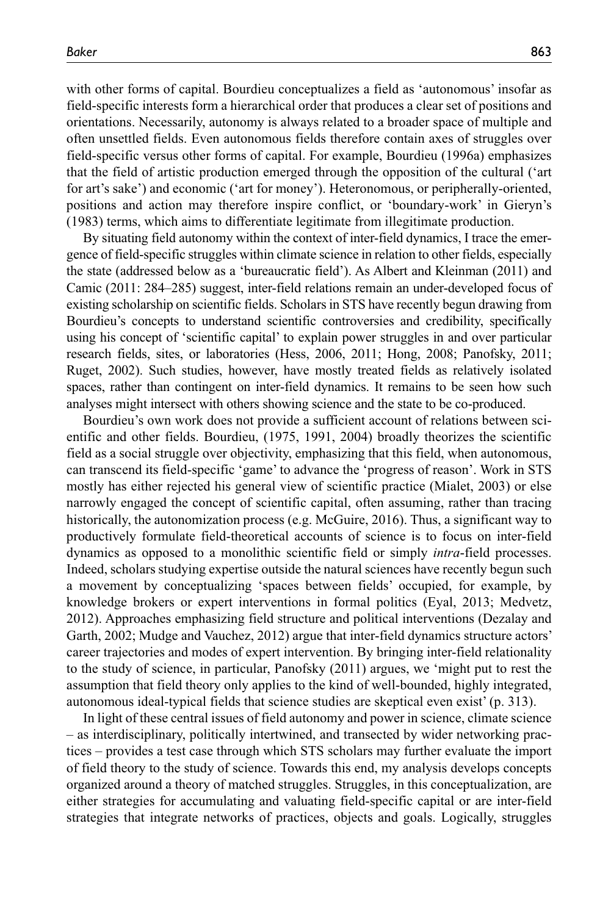with other forms of capital. Bourdieu conceptualizes a field as 'autonomous' insofar as field-specific interests form a hierarchical order that produces a clear set of positions and orientations. Necessarily, autonomy is always related to a broader space of multiple and often unsettled fields. Even autonomous fields therefore contain axes of struggles over field-specific versus other forms of capital. For example, Bourdieu (1996a) emphasizes that the field of artistic production emerged through the opposition of the cultural ('art for art's sake') and economic ('art for money'). Heteronomous, or peripherally-oriented, positions and action may therefore inspire conflict, or 'boundary-work' in Gieryn's (1983) terms, which aims to differentiate legitimate from illegitimate production.

By situating field autonomy within the context of inter-field dynamics, I trace the emergence of field-specific struggles within climate science in relation to other fields, especially the state (addressed below as a 'bureaucratic field'). As Albert and Kleinman (2011) and Camic (2011: 284–285) suggest, inter-field relations remain an under-developed focus of existing scholarship on scientific fields. Scholars in STS have recently begun drawing from Bourdieu's concepts to understand scientific controversies and credibility, specifically using his concept of 'scientific capital' to explain power struggles in and over particular research fields, sites, or laboratories (Hess, 2006, 2011; Hong, 2008; Panofsky, 2011; Ruget, 2002). Such studies, however, have mostly treated fields as relatively isolated spaces, rather than contingent on inter-field dynamics. It remains to be seen how such analyses might intersect with others showing science and the state to be co-produced.

Bourdieu's own work does not provide a sufficient account of relations between scientific and other fields. Bourdieu, (1975, 1991, 2004) broadly theorizes the scientific field as a social struggle over objectivity, emphasizing that this field, when autonomous, can transcend its field-specific 'game' to advance the 'progress of reason'. Work in STS mostly has either rejected his general view of scientific practice (Mialet, 2003) or else narrowly engaged the concept of scientific capital, often assuming, rather than tracing historically, the autonomization process (e.g. McGuire, 2016). Thus, a significant way to productively formulate field-theoretical accounts of science is to focus on inter-field dynamics as opposed to a monolithic scientific field or simply *intra*-field processes. Indeed, scholars studying expertise outside the natural sciences have recently begun such a movement by conceptualizing 'spaces between fields' occupied, for example, by knowledge brokers or expert interventions in formal politics (Eyal, 2013; Medvetz, 2012). Approaches emphasizing field structure and political interventions (Dezalay and Garth, 2002; Mudge and Vauchez, 2012) argue that inter-field dynamics structure actors' career trajectories and modes of expert intervention. By bringing inter-field relationality to the study of science, in particular, Panofsky (2011) argues, we 'might put to rest the assumption that field theory only applies to the kind of well-bounded, highly integrated, autonomous ideal-typical fields that science studies are skeptical even exist' (p. 313).

In light of these central issues of field autonomy and power in science, climate science – as interdisciplinary, politically intertwined, and transected by wider networking practices – provides a test case through which STS scholars may further evaluate the import of field theory to the study of science. Towards this end, my analysis develops concepts organized around a theory of matched struggles. Struggles, in this conceptualization, are either strategies for accumulating and valuating field-specific capital or are inter-field strategies that integrate networks of practices, objects and goals. Logically, struggles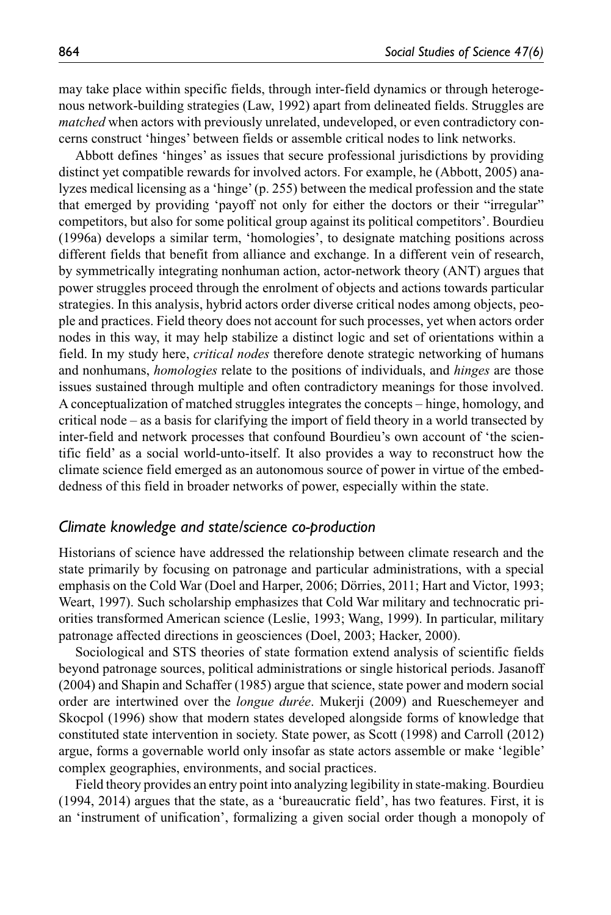may take place within specific fields, through inter-field dynamics or through heterogenous network-building strategies (Law, 1992) apart from delineated fields. Struggles are *matched* when actors with previously unrelated, undeveloped, or even contradictory concerns construct 'hinges' between fields or assemble critical nodes to link networks.

Abbott defines 'hinges' as issues that secure professional jurisdictions by providing distinct yet compatible rewards for involved actors. For example, he (Abbott, 2005) analyzes medical licensing as a 'hinge' (p. 255) between the medical profession and the state that emerged by providing 'payoff not only for either the doctors or their "irregular" competitors, but also for some political group against its political competitors'. Bourdieu (1996a) develops a similar term, 'homologies', to designate matching positions across different fields that benefit from alliance and exchange. In a different vein of research, by symmetrically integrating nonhuman action, actor-network theory (ANT) argues that power struggles proceed through the enrolment of objects and actions towards particular strategies. In this analysis, hybrid actors order diverse critical nodes among objects, people and practices. Field theory does not account for such processes, yet when actors order nodes in this way, it may help stabilize a distinct logic and set of orientations within a field. In my study here, *critical nodes* therefore denote strategic networking of humans and nonhumans, *homologies* relate to the positions of individuals, and *hinges* are those issues sustained through multiple and often contradictory meanings for those involved. A conceptualization of matched struggles integrates the concepts – hinge, homology, and critical node – as a basis for clarifying the import of field theory in a world transected by inter-field and network processes that confound Bourdieu's own account of 'the scientific field' as a social world-unto-itself. It also provides a way to reconstruct how the climate science field emerged as an autonomous source of power in virtue of the embeddedness of this field in broader networks of power, especially within the state.

#### *Climate knowledge and state/science co-production*

Historians of science have addressed the relationship between climate research and the state primarily by focusing on patronage and particular administrations, with a special emphasis on the Cold War (Doel and Harper, 2006; Dörries, 2011; Hart and Victor, 1993; Weart, 1997). Such scholarship emphasizes that Cold War military and technocratic priorities transformed American science (Leslie, 1993; Wang, 1999). In particular, military patronage affected directions in geosciences (Doel, 2003; Hacker, 2000).

Sociological and STS theories of state formation extend analysis of scientific fields beyond patronage sources, political administrations or single historical periods. Jasanoff (2004) and Shapin and Schaffer (1985) argue that science, state power and modern social order are intertwined over the *longue durée*. Mukerji (2009) and Rueschemeyer and Skocpol (1996) show that modern states developed alongside forms of knowledge that constituted state intervention in society. State power, as Scott (1998) and Carroll (2012) argue, forms a governable world only insofar as state actors assemble or make 'legible' complex geographies, environments, and social practices.

Field theory provides an entry point into analyzing legibility in state-making. Bourdieu (1994, 2014) argues that the state, as a 'bureaucratic field', has two features. First, it is an 'instrument of unification', formalizing a given social order though a monopoly of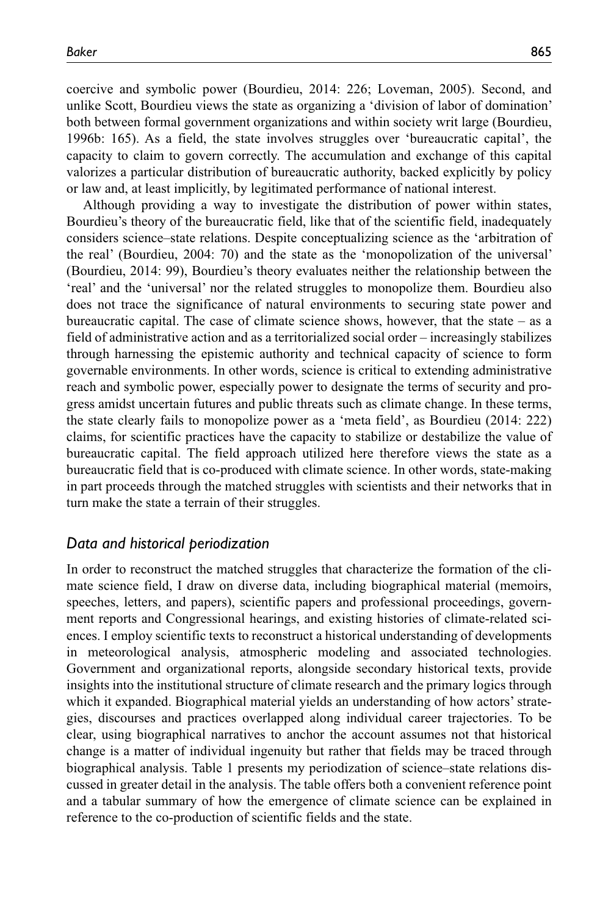coercive and symbolic power (Bourdieu, 2014: 226; Loveman, 2005). Second, and unlike Scott, Bourdieu views the state as organizing a 'division of labor of domination' both between formal government organizations and within society writ large (Bourdieu, 1996b: 165). As a field, the state involves struggles over 'bureaucratic capital', the capacity to claim to govern correctly. The accumulation and exchange of this capital valorizes a particular distribution of bureaucratic authority, backed explicitly by policy or law and, at least implicitly, by legitimated performance of national interest.

Although providing a way to investigate the distribution of power within states, Bourdieu's theory of the bureaucratic field, like that of the scientific field, inadequately considers science–state relations. Despite conceptualizing science as the 'arbitration of the real' (Bourdieu, 2004: 70) and the state as the 'monopolization of the universal' (Bourdieu, 2014: 99), Bourdieu's theory evaluates neither the relationship between the 'real' and the 'universal' nor the related struggles to monopolize them. Bourdieu also does not trace the significance of natural environments to securing state power and bureaucratic capital. The case of climate science shows, however, that the state  $-$  as a field of administrative action and as a territorialized social order – increasingly stabilizes through harnessing the epistemic authority and technical capacity of science to form governable environments. In other words, science is critical to extending administrative reach and symbolic power, especially power to designate the terms of security and progress amidst uncertain futures and public threats such as climate change. In these terms, the state clearly fails to monopolize power as a 'meta field', as Bourdieu (2014: 222) claims, for scientific practices have the capacity to stabilize or destabilize the value of bureaucratic capital. The field approach utilized here therefore views the state as a bureaucratic field that is co-produced with climate science. In other words, state-making in part proceeds through the matched struggles with scientists and their networks that in turn make the state a terrain of their struggles.

## *Data and historical periodization*

In order to reconstruct the matched struggles that characterize the formation of the climate science field, I draw on diverse data, including biographical material (memoirs, speeches, letters, and papers), scientific papers and professional proceedings, government reports and Congressional hearings, and existing histories of climate-related sciences. I employ scientific texts to reconstruct a historical understanding of developments in meteorological analysis, atmospheric modeling and associated technologies. Government and organizational reports, alongside secondary historical texts, provide insights into the institutional structure of climate research and the primary logics through which it expanded. Biographical material yields an understanding of how actors' strategies, discourses and practices overlapped along individual career trajectories. To be clear, using biographical narratives to anchor the account assumes not that historical change is a matter of individual ingenuity but rather that fields may be traced through biographical analysis. Table 1 presents my periodization of science–state relations discussed in greater detail in the analysis. The table offers both a convenient reference point and a tabular summary of how the emergence of climate science can be explained in reference to the co-production of scientific fields and the state.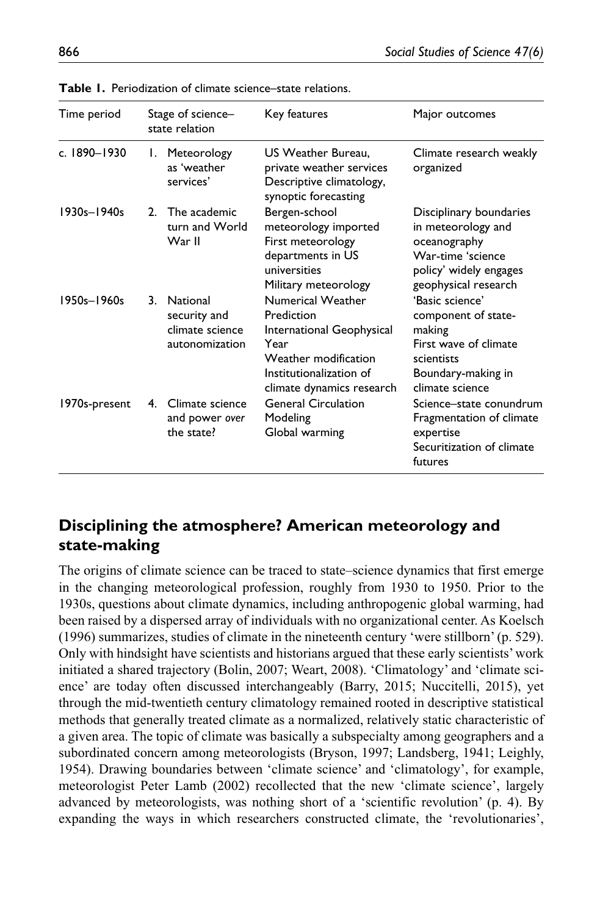| Time period     |    | Stage of science-<br>state relation                              | Key features                                                                                                                                         | Major outcomes                                                                                                                       |
|-----------------|----|------------------------------------------------------------------|------------------------------------------------------------------------------------------------------------------------------------------------------|--------------------------------------------------------------------------------------------------------------------------------------|
| c. 1890-1930    | L. | Meteorology<br>as 'weather<br>services'                          | US Weather Bureau,<br>private weather services<br>Descriptive climatology,<br>synoptic forecasting                                                   | Climate research weakly<br>organized                                                                                                 |
| $1930s - 1940s$ |    | 2. The academic<br>turn and World<br>War II                      | Bergen-school<br>meteorology imported<br>First meteorology<br>departments in US<br>universities<br>Military meteorology                              | Disciplinary boundaries<br>in meteorology and<br>oceanography<br>War-time 'science<br>policy' widely engages<br>geophysical research |
| $1950s - 1960s$ |    | 3. National<br>security and<br>climate science<br>autonomization | Numerical Weather<br>Prediction<br>International Geophysical<br>Year<br>Weather modification<br>Institutionalization of<br>climate dynamics research | 'Basic science'<br>component of state-<br>making<br>First wave of climate<br>scientists<br>Boundary-making in<br>climate science     |
| 1970s-present   | 4. | Climate science<br>and power over<br>the state?                  | <b>General Circulation</b><br>Modeling<br>Global warming                                                                                             | Science-state conundrum<br>Fragmentation of climate<br>expertise<br>Securitization of climate<br>futures                             |

**Table 1.** Periodization of climate science–state relations.

# **Disciplining the atmosphere? American meteorology and state-making**

The origins of climate science can be traced to state–science dynamics that first emerge in the changing meteorological profession, roughly from 1930 to 1950. Prior to the 1930s, questions about climate dynamics, including anthropogenic global warming, had been raised by a dispersed array of individuals with no organizational center. As Koelsch (1996) summarizes, studies of climate in the nineteenth century 'were stillborn' (p. 529). Only with hindsight have scientists and historians argued that these early scientists' work initiated a shared trajectory (Bolin, 2007; Weart, 2008). 'Climatology' and 'climate science' are today often discussed interchangeably (Barry, 2015; Nuccitelli, 2015), yet through the mid-twentieth century climatology remained rooted in descriptive statistical methods that generally treated climate as a normalized, relatively static characteristic of a given area. The topic of climate was basically a subspecialty among geographers and a subordinated concern among meteorologists (Bryson, 1997; Landsberg, 1941; Leighly, 1954). Drawing boundaries between 'climate science' and 'climatology', for example, meteorologist Peter Lamb (2002) recollected that the new 'climate science', largely advanced by meteorologists, was nothing short of a 'scientific revolution' (p. 4). By expanding the ways in which researchers constructed climate, the 'revolutionaries',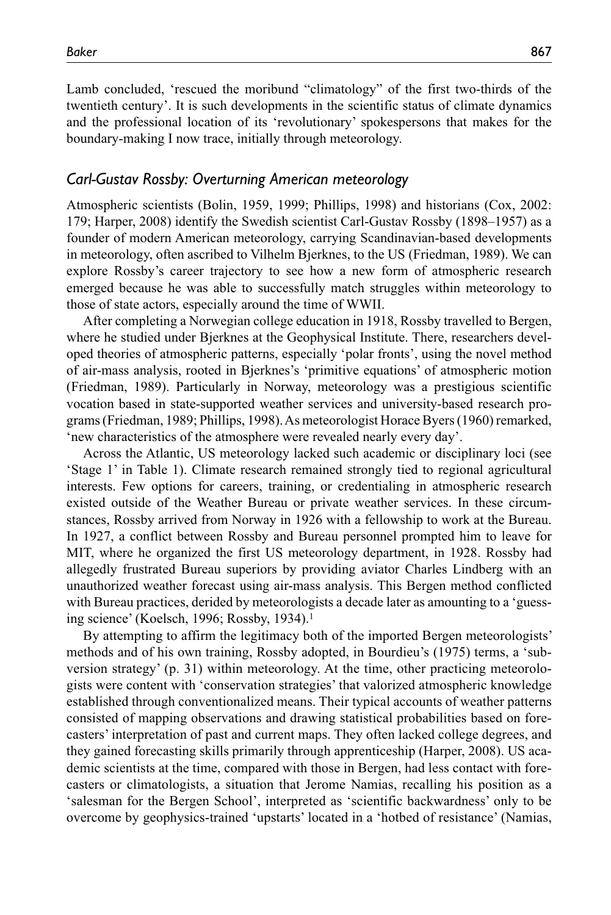Lamb concluded, 'rescued the moribund "climatology" of the first two-thirds of the twentieth century'. It is such developments in the scientific status of climate dynamics and the professional location of its 'revolutionary' spokespersons that makes for the boundary-making I now trace, initially through meteorology.

## *Carl-Gustav Rossby: Overturning American meteorology*

Atmospheric scientists (Bolin, 1959, 1999; Phillips, 1998) and historians (Cox, 2002: 179; Harper, 2008) identify the Swedish scientist Carl-Gustav Rossby (1898–1957) as a founder of modern American meteorology, carrying Scandinavian-based developments in meteorology, often ascribed to Vilhelm Bjerknes, to the US (Friedman, 1989). We can explore Rossby's career trajectory to see how a new form of atmospheric research emerged because he was able to successfully match struggles within meteorology to those of state actors, especially around the time of WWII.

After completing a Norwegian college education in 1918, Rossby travelled to Bergen, where he studied under Bjerknes at the Geophysical Institute. There, researchers developed theories of atmospheric patterns, especially 'polar fronts', using the novel method of air-mass analysis, rooted in Bjerknes's 'primitive equations' of atmospheric motion (Friedman, 1989). Particularly in Norway, meteorology was a prestigious scientific vocation based in state-supported weather services and university-based research programs (Friedman, 1989; Phillips, 1998). As meteorologist Horace Byers (1960) remarked, 'new characteristics of the atmosphere were revealed nearly every day'.

Across the Atlantic, US meteorology lacked such academic or disciplinary loci (see 'Stage 1' in Table 1). Climate research remained strongly tied to regional agricultural interests. Few options for careers, training, or credentialing in atmospheric research existed outside of the Weather Bureau or private weather services. In these circumstances, Rossby arrived from Norway in 1926 with a fellowship to work at the Bureau. In 1927, a conflict between Rossby and Bureau personnel prompted him to leave for MIT, where he organized the first US meteorology department, in 1928. Rossby had allegedly frustrated Bureau superiors by providing aviator Charles Lindberg with an unauthorized weather forecast using air-mass analysis. This Bergen method conflicted with Bureau practices, derided by meteorologists a decade later as amounting to a 'guessing science' (Koelsch, 1996; Rossby, 1934).1

By attempting to affirm the legitimacy both of the imported Bergen meteorologists' methods and of his own training, Rossby adopted, in Bourdieu's (1975) terms, a 'subversion strategy' (p. 31) within meteorology. At the time, other practicing meteorologists were content with 'conservation strategies' that valorized atmospheric knowledge established through conventionalized means. Their typical accounts of weather patterns consisted of mapping observations and drawing statistical probabilities based on forecasters' interpretation of past and current maps. They often lacked college degrees, and they gained forecasting skills primarily through apprenticeship (Harper, 2008). US academic scientists at the time, compared with those in Bergen, had less contact with forecasters or climatologists, a situation that Jerome Namias, recalling his position as a 'salesman for the Bergen School', interpreted as 'scientific backwardness' only to be overcome by geophysics-trained 'upstarts' located in a 'hotbed of resistance' (Namias,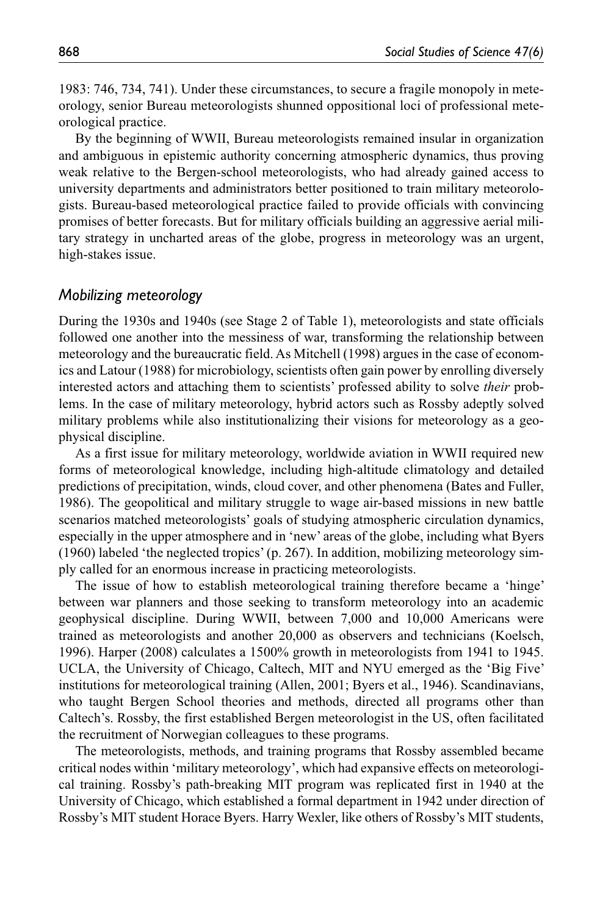1983: 746, 734, 741). Under these circumstances, to secure a fragile monopoly in meteorology, senior Bureau meteorologists shunned oppositional loci of professional meteorological practice.

By the beginning of WWII, Bureau meteorologists remained insular in organization and ambiguous in epistemic authority concerning atmospheric dynamics, thus proving weak relative to the Bergen-school meteorologists, who had already gained access to university departments and administrators better positioned to train military meteorologists. Bureau-based meteorological practice failed to provide officials with convincing promises of better forecasts. But for military officials building an aggressive aerial military strategy in uncharted areas of the globe, progress in meteorology was an urgent, high-stakes issue.

#### *Mobilizing meteorology*

During the 1930s and 1940s (see Stage 2 of Table 1), meteorologists and state officials followed one another into the messiness of war, transforming the relationship between meteorology and the bureaucratic field. As Mitchell (1998) argues in the case of economics and Latour (1988) for microbiology, scientists often gain power by enrolling diversely interested actors and attaching them to scientists' professed ability to solve *their* problems. In the case of military meteorology, hybrid actors such as Rossby adeptly solved military problems while also institutionalizing their visions for meteorology as a geophysical discipline.

As a first issue for military meteorology, worldwide aviation in WWII required new forms of meteorological knowledge, including high-altitude climatology and detailed predictions of precipitation, winds, cloud cover, and other phenomena (Bates and Fuller, 1986). The geopolitical and military struggle to wage air-based missions in new battle scenarios matched meteorologists' goals of studying atmospheric circulation dynamics, especially in the upper atmosphere and in 'new' areas of the globe, including what Byers (1960) labeled 'the neglected tropics' (p. 267). In addition, mobilizing meteorology simply called for an enormous increase in practicing meteorologists.

The issue of how to establish meteorological training therefore became a 'hinge' between war planners and those seeking to transform meteorology into an academic geophysical discipline. During WWII, between 7,000 and 10,000 Americans were trained as meteorologists and another 20,000 as observers and technicians (Koelsch, 1996). Harper (2008) calculates a 1500% growth in meteorologists from 1941 to 1945. UCLA, the University of Chicago, Caltech, MIT and NYU emerged as the 'Big Five' institutions for meteorological training (Allen, 2001; Byers et al., 1946). Scandinavians, who taught Bergen School theories and methods, directed all programs other than Caltech's. Rossby, the first established Bergen meteorologist in the US, often facilitated the recruitment of Norwegian colleagues to these programs.

The meteorologists, methods, and training programs that Rossby assembled became critical nodes within 'military meteorology', which had expansive effects on meteorological training. Rossby's path-breaking MIT program was replicated first in 1940 at the University of Chicago, which established a formal department in 1942 under direction of Rossby's MIT student Horace Byers. Harry Wexler, like others of Rossby's MIT students,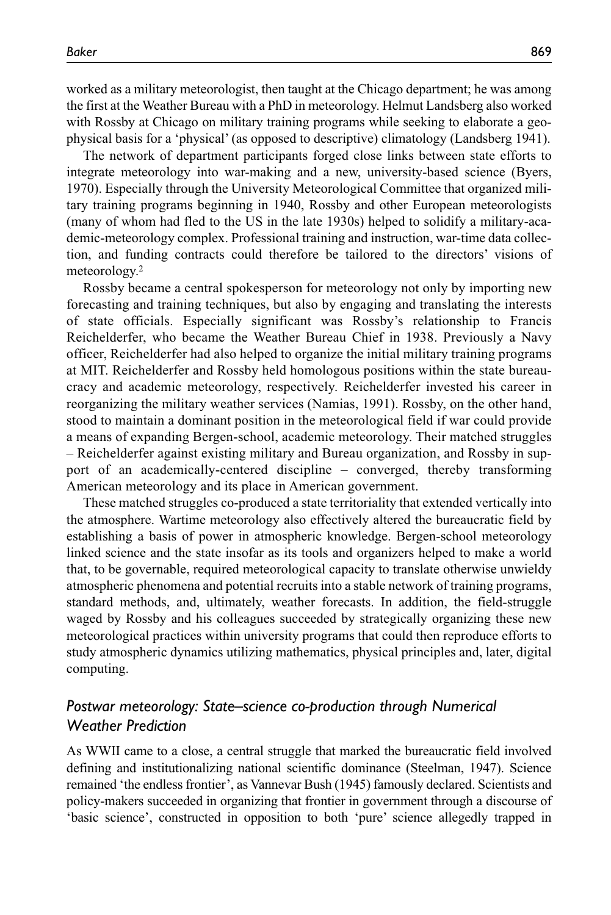worked as a military meteorologist, then taught at the Chicago department; he was among the first at the Weather Bureau with a PhD in meteorology. Helmut Landsberg also worked with Rossby at Chicago on military training programs while seeking to elaborate a geophysical basis for a 'physical' (as opposed to descriptive) climatology (Landsberg 1941).

The network of department participants forged close links between state efforts to integrate meteorology into war-making and a new, university-based science (Byers, 1970). Especially through the University Meteorological Committee that organized military training programs beginning in 1940, Rossby and other European meteorologists (many of whom had fled to the US in the late 1930s) helped to solidify a military-academic-meteorology complex. Professional training and instruction, war-time data collection, and funding contracts could therefore be tailored to the directors' visions of meteorology.2

Rossby became a central spokesperson for meteorology not only by importing new forecasting and training techniques, but also by engaging and translating the interests of state officials. Especially significant was Rossby's relationship to Francis Reichelderfer, who became the Weather Bureau Chief in 1938. Previously a Navy officer, Reichelderfer had also helped to organize the initial military training programs at MIT. Reichelderfer and Rossby held homologous positions within the state bureaucracy and academic meteorology, respectively. Reichelderfer invested his career in reorganizing the military weather services (Namias, 1991). Rossby, on the other hand, stood to maintain a dominant position in the meteorological field if war could provide a means of expanding Bergen-school, academic meteorology. Their matched struggles – Reichelderfer against existing military and Bureau organization, and Rossby in support of an academically-centered discipline – converged, thereby transforming American meteorology and its place in American government.

These matched struggles co-produced a state territoriality that extended vertically into the atmosphere. Wartime meteorology also effectively altered the bureaucratic field by establishing a basis of power in atmospheric knowledge. Bergen-school meteorology linked science and the state insofar as its tools and organizers helped to make a world that, to be governable, required meteorological capacity to translate otherwise unwieldy atmospheric phenomena and potential recruits into a stable network of training programs, standard methods, and, ultimately, weather forecasts. In addition, the field-struggle waged by Rossby and his colleagues succeeded by strategically organizing these new meteorological practices within university programs that could then reproduce efforts to study atmospheric dynamics utilizing mathematics, physical principles and, later, digital computing.

# *Postwar meteorology: State–science co-production through Numerical Weather Prediction*

As WWII came to a close, a central struggle that marked the bureaucratic field involved defining and institutionalizing national scientific dominance (Steelman, 1947). Science remained 'the endless frontier', as Vannevar Bush (1945) famously declared. Scientists and policy-makers succeeded in organizing that frontier in government through a discourse of 'basic science', constructed in opposition to both 'pure' science allegedly trapped in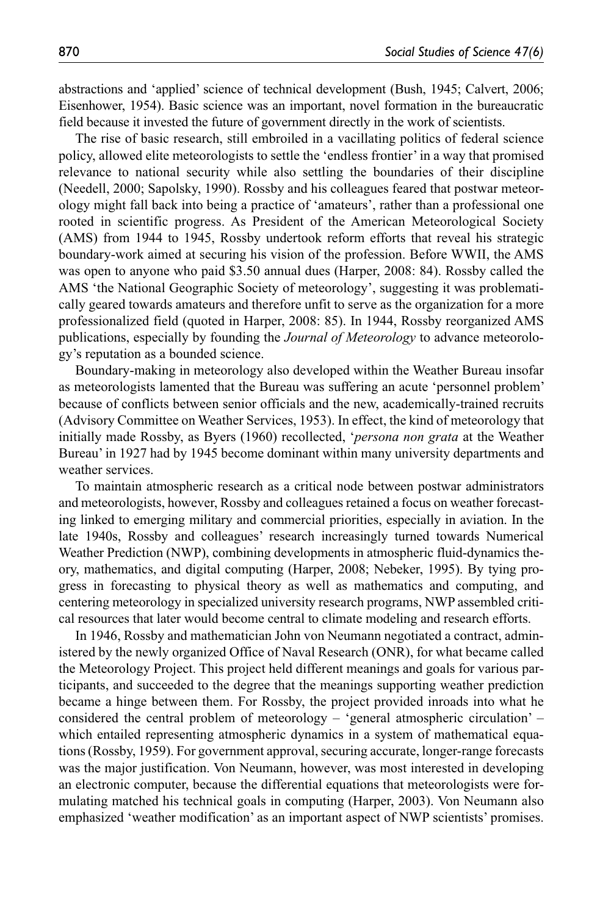abstractions and 'applied' science of technical development (Bush, 1945; Calvert, 2006; Eisenhower, 1954). Basic science was an important, novel formation in the bureaucratic field because it invested the future of government directly in the work of scientists.

The rise of basic research, still embroiled in a vacillating politics of federal science policy, allowed elite meteorologists to settle the 'endless frontier' in a way that promised relevance to national security while also settling the boundaries of their discipline (Needell, 2000; Sapolsky, 1990). Rossby and his colleagues feared that postwar meteorology might fall back into being a practice of 'amateurs', rather than a professional one rooted in scientific progress. As President of the American Meteorological Society (AMS) from 1944 to 1945, Rossby undertook reform efforts that reveal his strategic boundary-work aimed at securing his vision of the profession. Before WWII, the AMS was open to anyone who paid \$3.50 annual dues (Harper, 2008: 84). Rossby called the AMS 'the National Geographic Society of meteorology', suggesting it was problematically geared towards amateurs and therefore unfit to serve as the organization for a more professionalized field (quoted in Harper, 2008: 85). In 1944, Rossby reorganized AMS publications, especially by founding the *Journal of Meteorology* to advance meteorology's reputation as a bounded science.

Boundary-making in meteorology also developed within the Weather Bureau insofar as meteorologists lamented that the Bureau was suffering an acute 'personnel problem' because of conflicts between senior officials and the new, academically-trained recruits (Advisory Committee on Weather Services, 1953). In effect, the kind of meteorology that initially made Rossby, as Byers (1960) recollected, '*persona non grata* at the Weather Bureau' in 1927 had by 1945 become dominant within many university departments and weather services.

To maintain atmospheric research as a critical node between postwar administrators and meteorologists, however, Rossby and colleagues retained a focus on weather forecasting linked to emerging military and commercial priorities, especially in aviation. In the late 1940s, Rossby and colleagues' research increasingly turned towards Numerical Weather Prediction (NWP), combining developments in atmospheric fluid-dynamics theory, mathematics, and digital computing (Harper, 2008; Nebeker, 1995). By tying progress in forecasting to physical theory as well as mathematics and computing, and centering meteorology in specialized university research programs, NWP assembled critical resources that later would become central to climate modeling and research efforts.

In 1946, Rossby and mathematician John von Neumann negotiated a contract, administered by the newly organized Office of Naval Research (ONR), for what became called the Meteorology Project. This project held different meanings and goals for various participants, and succeeded to the degree that the meanings supporting weather prediction became a hinge between them. For Rossby, the project provided inroads into what he considered the central problem of meteorology – 'general atmospheric circulation' – which entailed representing atmospheric dynamics in a system of mathematical equations (Rossby, 1959). For government approval, securing accurate, longer-range forecasts was the major justification. Von Neumann, however, was most interested in developing an electronic computer, because the differential equations that meteorologists were formulating matched his technical goals in computing (Harper, 2003). Von Neumann also emphasized 'weather modification' as an important aspect of NWP scientists' promises.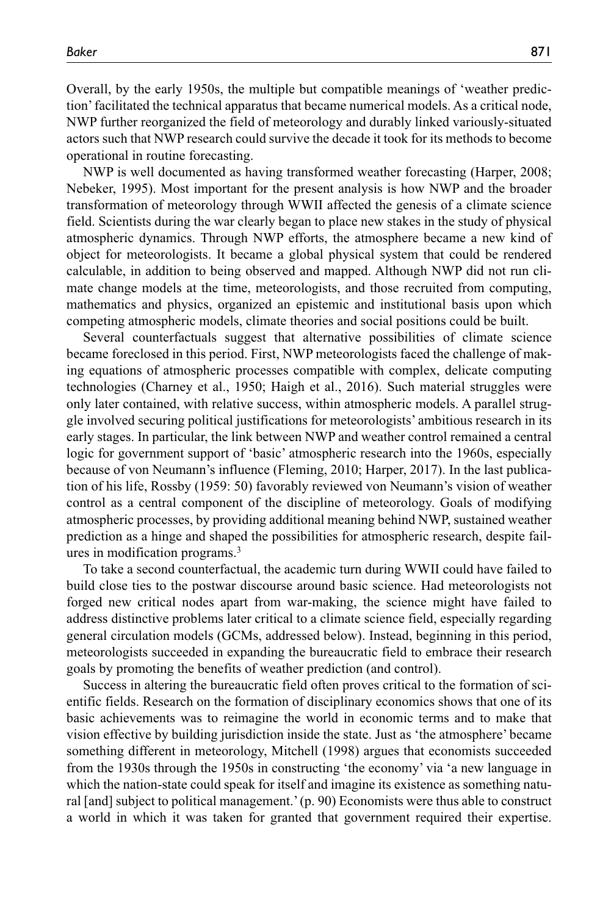Overall, by the early 1950s, the multiple but compatible meanings of 'weather prediction' facilitated the technical apparatus that became numerical models. As a critical node, NWP further reorganized the field of meteorology and durably linked variously-situated actors such that NWP research could survive the decade it took for its methods to become operational in routine forecasting.

NWP is well documented as having transformed weather forecasting (Harper, 2008; Nebeker, 1995). Most important for the present analysis is how NWP and the broader transformation of meteorology through WWII affected the genesis of a climate science field. Scientists during the war clearly began to place new stakes in the study of physical atmospheric dynamics. Through NWP efforts, the atmosphere became a new kind of object for meteorologists. It became a global physical system that could be rendered calculable, in addition to being observed and mapped. Although NWP did not run climate change models at the time, meteorologists, and those recruited from computing, mathematics and physics, organized an epistemic and institutional basis upon which competing atmospheric models, climate theories and social positions could be built.

Several counterfactuals suggest that alternative possibilities of climate science became foreclosed in this period. First, NWP meteorologists faced the challenge of making equations of atmospheric processes compatible with complex, delicate computing technologies (Charney et al., 1950; Haigh et al., 2016). Such material struggles were only later contained, with relative success, within atmospheric models. A parallel struggle involved securing political justifications for meteorologists' ambitious research in its early stages. In particular, the link between NWP and weather control remained a central logic for government support of 'basic' atmospheric research into the 1960s, especially because of von Neumann's influence (Fleming, 2010; Harper, 2017). In the last publication of his life, Rossby (1959: 50) favorably reviewed von Neumann's vision of weather control as a central component of the discipline of meteorology. Goals of modifying atmospheric processes, by providing additional meaning behind NWP, sustained weather prediction as a hinge and shaped the possibilities for atmospheric research, despite failures in modification programs.3

To take a second counterfactual, the academic turn during WWII could have failed to build close ties to the postwar discourse around basic science. Had meteorologists not forged new critical nodes apart from war-making, the science might have failed to address distinctive problems later critical to a climate science field, especially regarding general circulation models (GCMs, addressed below). Instead, beginning in this period, meteorologists succeeded in expanding the bureaucratic field to embrace their research goals by promoting the benefits of weather prediction (and control).

Success in altering the bureaucratic field often proves critical to the formation of scientific fields. Research on the formation of disciplinary economics shows that one of its basic achievements was to reimagine the world in economic terms and to make that vision effective by building jurisdiction inside the state. Just as 'the atmosphere' became something different in meteorology, Mitchell (1998) argues that economists succeeded from the 1930s through the 1950s in constructing 'the economy' via 'a new language in which the nation-state could speak for itself and imagine its existence as something natural [and] subject to political management.' (p. 90) Economists were thus able to construct a world in which it was taken for granted that government required their expertise.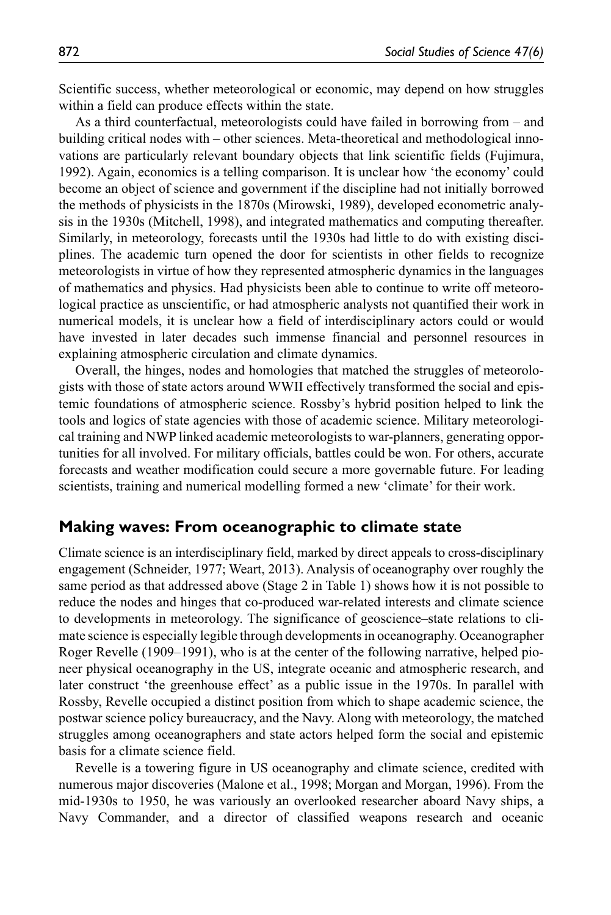Scientific success, whether meteorological or economic, may depend on how struggles within a field can produce effects within the state.

As a third counterfactual, meteorologists could have failed in borrowing from – and building critical nodes with – other sciences. Meta-theoretical and methodological innovations are particularly relevant boundary objects that link scientific fields (Fujimura, 1992). Again, economics is a telling comparison. It is unclear how 'the economy' could become an object of science and government if the discipline had not initially borrowed the methods of physicists in the 1870s (Mirowski, 1989), developed econometric analysis in the 1930s (Mitchell, 1998), and integrated mathematics and computing thereafter. Similarly, in meteorology, forecasts until the 1930s had little to do with existing disciplines. The academic turn opened the door for scientists in other fields to recognize meteorologists in virtue of how they represented atmospheric dynamics in the languages of mathematics and physics. Had physicists been able to continue to write off meteorological practice as unscientific, or had atmospheric analysts not quantified their work in numerical models, it is unclear how a field of interdisciplinary actors could or would have invested in later decades such immense financial and personnel resources in explaining atmospheric circulation and climate dynamics.

Overall, the hinges, nodes and homologies that matched the struggles of meteorologists with those of state actors around WWII effectively transformed the social and epistemic foundations of atmospheric science. Rossby's hybrid position helped to link the tools and logics of state agencies with those of academic science. Military meteorological training and NWP linked academic meteorologists to war-planners, generating opportunities for all involved. For military officials, battles could be won. For others, accurate forecasts and weather modification could secure a more governable future. For leading scientists, training and numerical modelling formed a new 'climate' for their work.

## **Making waves: From oceanographic to climate state**

Climate science is an interdisciplinary field, marked by direct appeals to cross-disciplinary engagement (Schneider, 1977; Weart, 2013). Analysis of oceanography over roughly the same period as that addressed above (Stage 2 in Table 1) shows how it is not possible to reduce the nodes and hinges that co-produced war-related interests and climate science to developments in meteorology. The significance of geoscience–state relations to climate science is especially legible through developments in oceanography. Oceanographer Roger Revelle (1909–1991), who is at the center of the following narrative, helped pioneer physical oceanography in the US, integrate oceanic and atmospheric research, and later construct 'the greenhouse effect' as a public issue in the 1970s. In parallel with Rossby, Revelle occupied a distinct position from which to shape academic science, the postwar science policy bureaucracy, and the Navy. Along with meteorology, the matched struggles among oceanographers and state actors helped form the social and epistemic basis for a climate science field.

Revelle is a towering figure in US oceanography and climate science, credited with numerous major discoveries (Malone et al., 1998; Morgan and Morgan, 1996). From the mid-1930s to 1950, he was variously an overlooked researcher aboard Navy ships, a Navy Commander, and a director of classified weapons research and oceanic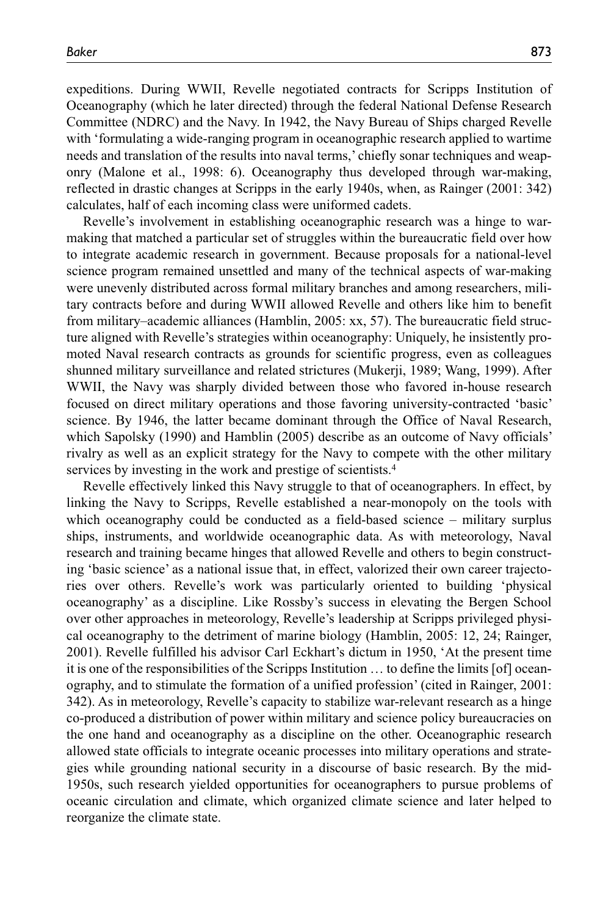expeditions. During WWII, Revelle negotiated contracts for Scripps Institution of Oceanography (which he later directed) through the federal National Defense Research Committee (NDRC) and the Navy. In 1942, the Navy Bureau of Ships charged Revelle with 'formulating a wide-ranging program in oceanographic research applied to wartime needs and translation of the results into naval terms,' chiefly sonar techniques and weaponry (Malone et al., 1998: 6). Oceanography thus developed through war-making, reflected in drastic changes at Scripps in the early 1940s, when, as Rainger (2001: 342) calculates, half of each incoming class were uniformed cadets.

Revelle's involvement in establishing oceanographic research was a hinge to warmaking that matched a particular set of struggles within the bureaucratic field over how to integrate academic research in government. Because proposals for a national-level science program remained unsettled and many of the technical aspects of war-making were unevenly distributed across formal military branches and among researchers, military contracts before and during WWII allowed Revelle and others like him to benefit from military–academic alliances (Hamblin, 2005: xx, 57). The bureaucratic field structure aligned with Revelle's strategies within oceanography: Uniquely, he insistently promoted Naval research contracts as grounds for scientific progress, even as colleagues shunned military surveillance and related strictures (Mukerji, 1989; Wang, 1999). After WWII, the Navy was sharply divided between those who favored in-house research focused on direct military operations and those favoring university-contracted 'basic' science. By 1946, the latter became dominant through the Office of Naval Research, which Sapolsky (1990) and Hamblin (2005) describe as an outcome of Navy officials' rivalry as well as an explicit strategy for the Navy to compete with the other military services by investing in the work and prestige of scientists.<sup>4</sup>

Revelle effectively linked this Navy struggle to that of oceanographers. In effect, by linking the Navy to Scripps, Revelle established a near-monopoly on the tools with which oceanography could be conducted as a field-based science – military surplus ships, instruments, and worldwide oceanographic data. As with meteorology, Naval research and training became hinges that allowed Revelle and others to begin constructing 'basic science' as a national issue that, in effect, valorized their own career trajectories over others. Revelle's work was particularly oriented to building 'physical oceanography' as a discipline. Like Rossby's success in elevating the Bergen School over other approaches in meteorology, Revelle's leadership at Scripps privileged physical oceanography to the detriment of marine biology (Hamblin, 2005: 12, 24; Rainger, 2001). Revelle fulfilled his advisor Carl Eckhart's dictum in 1950, 'At the present time it is one of the responsibilities of the Scripps Institution … to define the limits [of] oceanography, and to stimulate the formation of a unified profession' (cited in Rainger, 2001: 342). As in meteorology, Revelle's capacity to stabilize war-relevant research as a hinge co-produced a distribution of power within military and science policy bureaucracies on the one hand and oceanography as a discipline on the other. Oceanographic research allowed state officials to integrate oceanic processes into military operations and strategies while grounding national security in a discourse of basic research. By the mid-1950s, such research yielded opportunities for oceanographers to pursue problems of oceanic circulation and climate, which organized climate science and later helped to reorganize the climate state.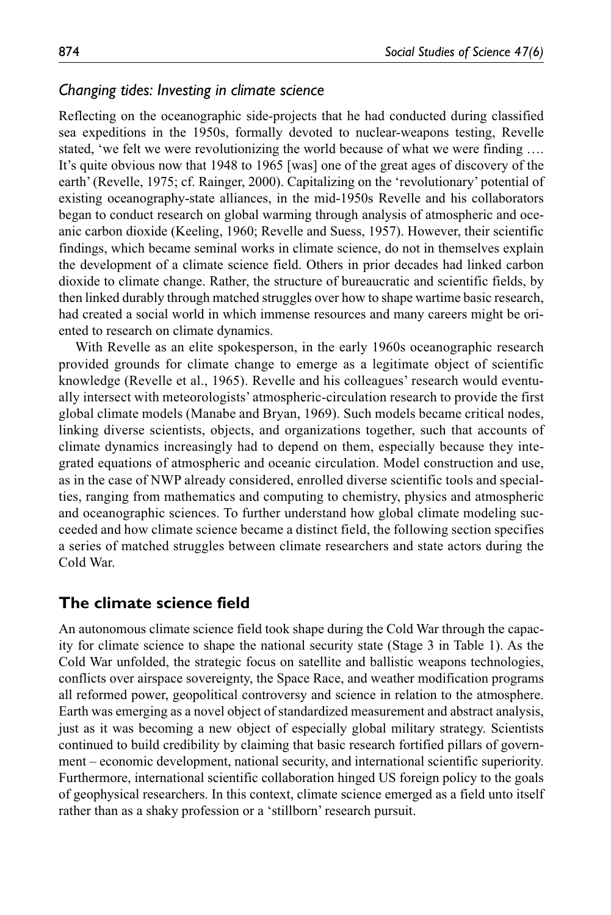## *Changing tides: Investing in climate science*

Reflecting on the oceanographic side-projects that he had conducted during classified sea expeditions in the 1950s, formally devoted to nuclear-weapons testing, Revelle stated, 'we felt we were revolutionizing the world because of what we were finding …. It's quite obvious now that 1948 to 1965 [was] one of the great ages of discovery of the earth' (Revelle, 1975; cf. Rainger, 2000). Capitalizing on the 'revolutionary' potential of existing oceanography-state alliances, in the mid-1950s Revelle and his collaborators began to conduct research on global warming through analysis of atmospheric and oceanic carbon dioxide (Keeling, 1960; Revelle and Suess, 1957). However, their scientific findings, which became seminal works in climate science, do not in themselves explain the development of a climate science field. Others in prior decades had linked carbon dioxide to climate change. Rather, the structure of bureaucratic and scientific fields, by then linked durably through matched struggles over how to shape wartime basic research, had created a social world in which immense resources and many careers might be oriented to research on climate dynamics.

With Revelle as an elite spokesperson, in the early 1960s oceanographic research provided grounds for climate change to emerge as a legitimate object of scientific knowledge (Revelle et al., 1965). Revelle and his colleagues' research would eventually intersect with meteorologists' atmospheric-circulation research to provide the first global climate models (Manabe and Bryan, 1969). Such models became critical nodes, linking diverse scientists, objects, and organizations together, such that accounts of climate dynamics increasingly had to depend on them, especially because they integrated equations of atmospheric and oceanic circulation. Model construction and use, as in the case of NWP already considered, enrolled diverse scientific tools and specialties, ranging from mathematics and computing to chemistry, physics and atmospheric and oceanographic sciences. To further understand how global climate modeling succeeded and how climate science became a distinct field, the following section specifies a series of matched struggles between climate researchers and state actors during the Cold War.

## **The climate science field**

An autonomous climate science field took shape during the Cold War through the capacity for climate science to shape the national security state (Stage 3 in Table 1). As the Cold War unfolded, the strategic focus on satellite and ballistic weapons technologies, conflicts over airspace sovereignty, the Space Race, and weather modification programs all reformed power, geopolitical controversy and science in relation to the atmosphere. Earth was emerging as a novel object of standardized measurement and abstract analysis, just as it was becoming a new object of especially global military strategy. Scientists continued to build credibility by claiming that basic research fortified pillars of government – economic development, national security, and international scientific superiority. Furthermore, international scientific collaboration hinged US foreign policy to the goals of geophysical researchers. In this context, climate science emerged as a field unto itself rather than as a shaky profession or a 'stillborn' research pursuit.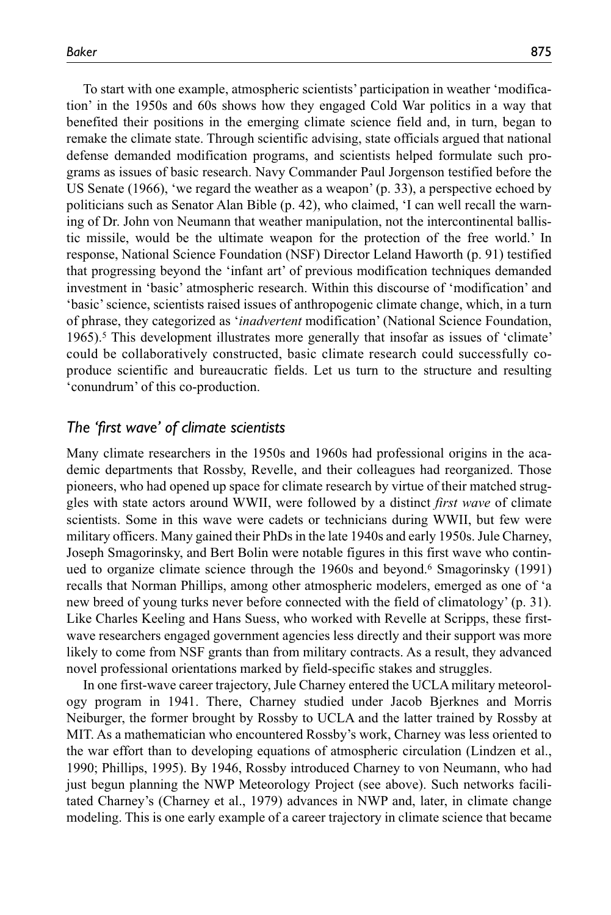To start with one example, atmospheric scientists' participation in weather 'modification' in the 1950s and 60s shows how they engaged Cold War politics in a way that benefited their positions in the emerging climate science field and, in turn, began to remake the climate state. Through scientific advising, state officials argued that national defense demanded modification programs, and scientists helped formulate such programs as issues of basic research. Navy Commander Paul Jorgenson testified before the US Senate (1966), 'we regard the weather as a weapon' (p. 33), a perspective echoed by politicians such as Senator Alan Bible (p. 42), who claimed, 'I can well recall the warning of Dr. John von Neumann that weather manipulation, not the intercontinental ballistic missile, would be the ultimate weapon for the protection of the free world.' In response, National Science Foundation (NSF) Director Leland Haworth (p. 91) testified that progressing beyond the 'infant art' of previous modification techniques demanded investment in 'basic' atmospheric research. Within this discourse of 'modification' and 'basic' science, scientists raised issues of anthropogenic climate change, which, in a turn of phrase, they categorized as '*inadvertent* modification' (National Science Foundation, 1965).5 This development illustrates more generally that insofar as issues of 'climate' could be collaboratively constructed, basic climate research could successfully coproduce scientific and bureaucratic fields. Let us turn to the structure and resulting 'conundrum' of this co-production.

#### *The 'first wave' of climate scientists*

Many climate researchers in the 1950s and 1960s had professional origins in the academic departments that Rossby, Revelle, and their colleagues had reorganized. Those pioneers, who had opened up space for climate research by virtue of their matched struggles with state actors around WWII, were followed by a distinct *first wave* of climate scientists. Some in this wave were cadets or technicians during WWII, but few were military officers. Many gained their PhDs in the late 1940s and early 1950s. Jule Charney, Joseph Smagorinsky, and Bert Bolin were notable figures in this first wave who continued to organize climate science through the 1960s and beyond.6 Smagorinsky (1991) recalls that Norman Phillips, among other atmospheric modelers, emerged as one of 'a new breed of young turks never before connected with the field of climatology' (p. 31). Like Charles Keeling and Hans Suess, who worked with Revelle at Scripps, these firstwave researchers engaged government agencies less directly and their support was more likely to come from NSF grants than from military contracts. As a result, they advanced novel professional orientations marked by field-specific stakes and struggles.

In one first-wave career trajectory, Jule Charney entered the UCLA military meteorology program in 1941. There, Charney studied under Jacob Bjerknes and Morris Neiburger, the former brought by Rossby to UCLA and the latter trained by Rossby at MIT. As a mathematician who encountered Rossby's work, Charney was less oriented to the war effort than to developing equations of atmospheric circulation (Lindzen et al., 1990; Phillips, 1995). By 1946, Rossby introduced Charney to von Neumann, who had just begun planning the NWP Meteorology Project (see above). Such networks facilitated Charney's (Charney et al., 1979) advances in NWP and, later, in climate change modeling. This is one early example of a career trajectory in climate science that became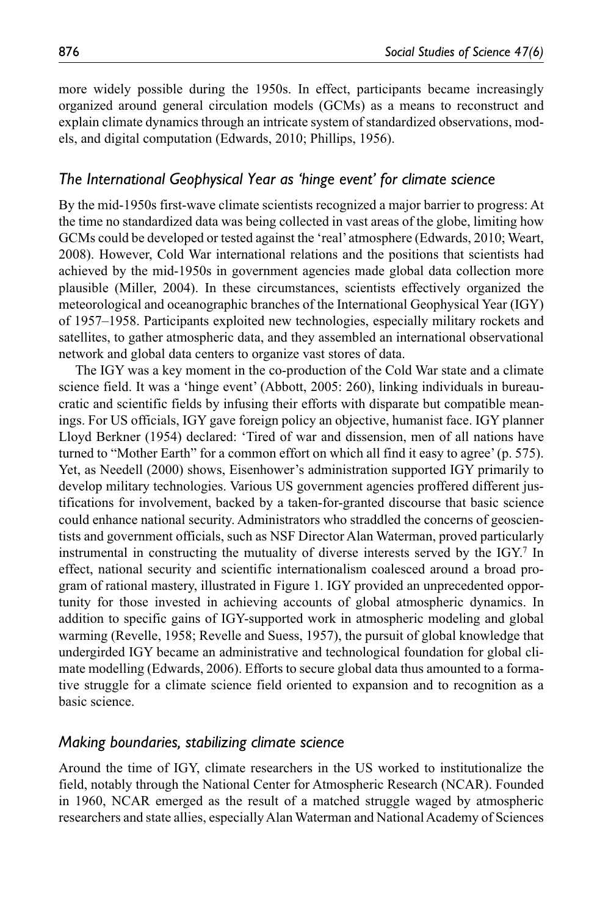more widely possible during the 1950s. In effect, participants became increasingly organized around general circulation models (GCMs) as a means to reconstruct and explain climate dynamics through an intricate system of standardized observations, models, and digital computation (Edwards, 2010; Phillips, 1956).

## *The International Geophysical Year as 'hinge event' for climate science*

By the mid-1950s first-wave climate scientists recognized a major barrier to progress: At the time no standardized data was being collected in vast areas of the globe, limiting how GCMs could be developed or tested against the 'real' atmosphere (Edwards, 2010; Weart, 2008). However, Cold War international relations and the positions that scientists had achieved by the mid-1950s in government agencies made global data collection more plausible (Miller, 2004). In these circumstances, scientists effectively organized the meteorological and oceanographic branches of the International Geophysical Year (IGY) of 1957–1958. Participants exploited new technologies, especially military rockets and satellites, to gather atmospheric data, and they assembled an international observational network and global data centers to organize vast stores of data.

The IGY was a key moment in the co-production of the Cold War state and a climate science field. It was a 'hinge event' (Abbott, 2005: 260), linking individuals in bureaucratic and scientific fields by infusing their efforts with disparate but compatible meanings. For US officials, IGY gave foreign policy an objective, humanist face. IGY planner Lloyd Berkner (1954) declared: 'Tired of war and dissension, men of all nations have turned to "Mother Earth" for a common effort on which all find it easy to agree' (p. 575). Yet, as Needell (2000) shows, Eisenhower's administration supported IGY primarily to develop military technologies. Various US government agencies proffered different justifications for involvement, backed by a taken-for-granted discourse that basic science could enhance national security. Administrators who straddled the concerns of geoscientists and government officials, such as NSF Director Alan Waterman, proved particularly instrumental in constructing the mutuality of diverse interests served by the IGY.7 In effect, national security and scientific internationalism coalesced around a broad program of rational mastery, illustrated in Figure 1. IGY provided an unprecedented opportunity for those invested in achieving accounts of global atmospheric dynamics. In addition to specific gains of IGY-supported work in atmospheric modeling and global warming (Revelle, 1958; Revelle and Suess, 1957), the pursuit of global knowledge that undergirded IGY became an administrative and technological foundation for global climate modelling (Edwards, 2006). Efforts to secure global data thus amounted to a formative struggle for a climate science field oriented to expansion and to recognition as a basic science.

#### *Making boundaries, stabilizing climate science*

Around the time of IGY, climate researchers in the US worked to institutionalize the field, notably through the National Center for Atmospheric Research (NCAR). Founded in 1960, NCAR emerged as the result of a matched struggle waged by atmospheric researchers and state allies, especially Alan Waterman and National Academy of Sciences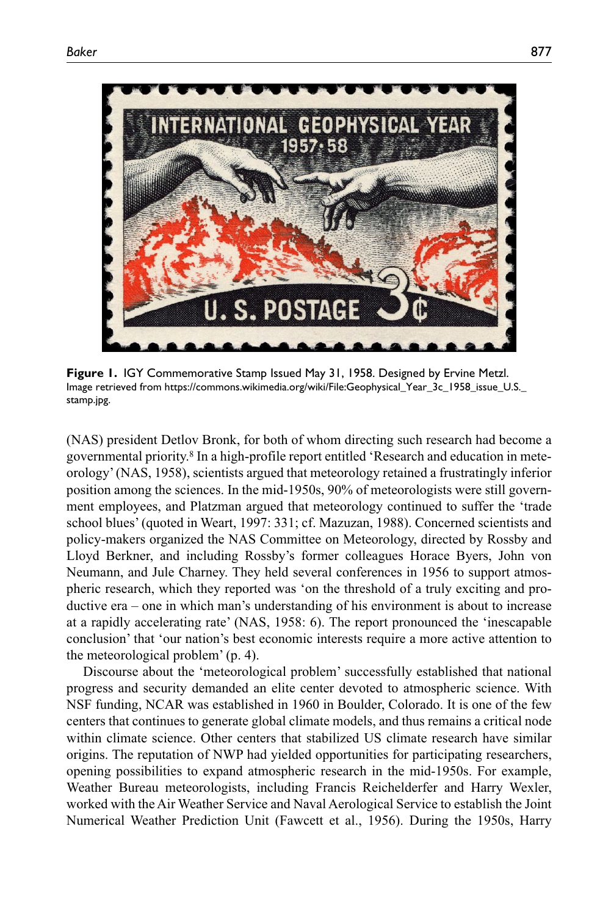

**Figure 1.** IGY Commemorative Stamp Issued May 31, 1958. Designed by Ervine Metzl. Image retrieved from [https://commons.wikimedia.org/wiki/File:Geophysical\\_Year\\_3c\\_1958\\_issue\\_U.S.\\_](https://commons.wikimedia.org/wiki/File:Geophysical_Year_3c_1958_issue_U.S._stamp.jpg) [stamp.jpg](https://commons.wikimedia.org/wiki/File:Geophysical_Year_3c_1958_issue_U.S._stamp.jpg).

(NAS) president Detlov Bronk, for both of whom directing such research had become a governmental priority.8 In a high-profile report entitled 'Research and education in meteorology' (NAS, 1958), scientists argued that meteorology retained a frustratingly inferior position among the sciences. In the mid-1950s, 90% of meteorologists were still government employees, and Platzman argued that meteorology continued to suffer the 'trade school blues' (quoted in Weart, 1997: 331; cf. Mazuzan, 1988). Concerned scientists and policy-makers organized the NAS Committee on Meteorology, directed by Rossby and Lloyd Berkner, and including Rossby's former colleagues Horace Byers, John von Neumann, and Jule Charney. They held several conferences in 1956 to support atmospheric research, which they reported was 'on the threshold of a truly exciting and productive era – one in which man's understanding of his environment is about to increase at a rapidly accelerating rate' (NAS, 1958: 6). The report pronounced the 'inescapable conclusion' that 'our nation's best economic interests require a more active attention to the meteorological problem' (p. 4).

Discourse about the 'meteorological problem' successfully established that national progress and security demanded an elite center devoted to atmospheric science. With NSF funding, NCAR was established in 1960 in Boulder, Colorado. It is one of the few centers that continues to generate global climate models, and thus remains a critical node within climate science. Other centers that stabilized US climate research have similar origins. The reputation of NWP had yielded opportunities for participating researchers, opening possibilities to expand atmospheric research in the mid-1950s. For example, Weather Bureau meteorologists, including Francis Reichelderfer and Harry Wexler, worked with the Air Weather Service and Naval Aerological Service to establish the Joint Numerical Weather Prediction Unit (Fawcett et al., 1956). During the 1950s, Harry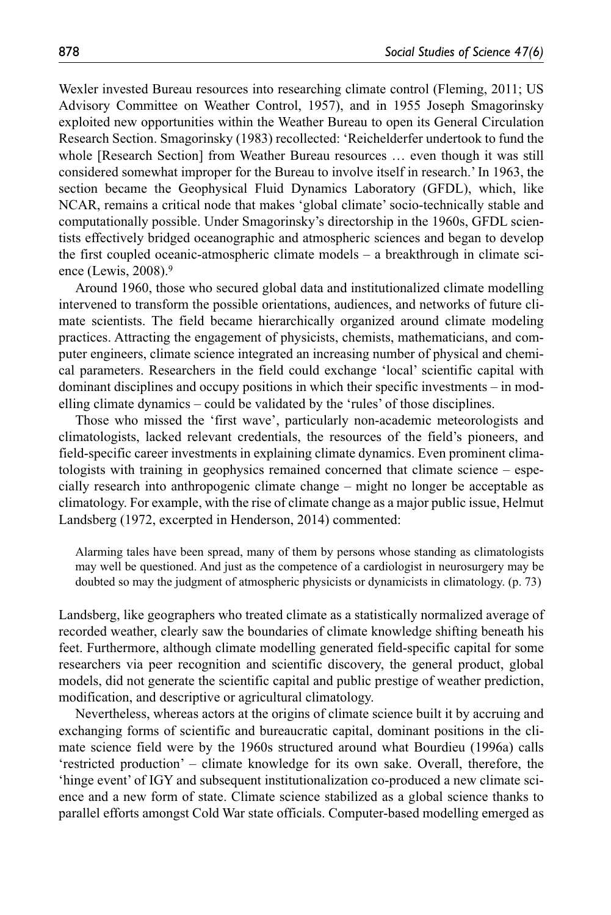Wexler invested Bureau resources into researching climate control (Fleming, 2011; US Advisory Committee on Weather Control, 1957), and in 1955 Joseph Smagorinsky exploited new opportunities within the Weather Bureau to open its General Circulation Research Section. Smagorinsky (1983) recollected: 'Reichelderfer undertook to fund the whole [Research Section] from Weather Bureau resources … even though it was still considered somewhat improper for the Bureau to involve itself in research.' In 1963, the section became the Geophysical Fluid Dynamics Laboratory (GFDL), which, like NCAR, remains a critical node that makes 'global climate' socio-technically stable and computationally possible. Under Smagorinsky's directorship in the 1960s, GFDL scientists effectively bridged oceanographic and atmospheric sciences and began to develop the first coupled oceanic-atmospheric climate models – a breakthrough in climate science (Lewis, 2008).<sup>9</sup>

Around 1960, those who secured global data and institutionalized climate modelling intervened to transform the possible orientations, audiences, and networks of future climate scientists. The field became hierarchically organized around climate modeling practices. Attracting the engagement of physicists, chemists, mathematicians, and computer engineers, climate science integrated an increasing number of physical and chemical parameters. Researchers in the field could exchange 'local' scientific capital with dominant disciplines and occupy positions in which their specific investments – in modelling climate dynamics – could be validated by the 'rules' of those disciplines.

Those who missed the 'first wave', particularly non-academic meteorologists and climatologists, lacked relevant credentials, the resources of the field's pioneers, and field-specific career investments in explaining climate dynamics. Even prominent climatologists with training in geophysics remained concerned that climate science – especially research into anthropogenic climate change – might no longer be acceptable as climatology. For example, with the rise of climate change as a major public issue, Helmut Landsberg (1972, excerpted in Henderson, 2014) commented:

Alarming tales have been spread, many of them by persons whose standing as climatologists may well be questioned. And just as the competence of a cardiologist in neurosurgery may be doubted so may the judgment of atmospheric physicists or dynamicists in climatology. (p. 73)

Landsberg, like geographers who treated climate as a statistically normalized average of recorded weather, clearly saw the boundaries of climate knowledge shifting beneath his feet. Furthermore, although climate modelling generated field-specific capital for some researchers via peer recognition and scientific discovery, the general product, global models, did not generate the scientific capital and public prestige of weather prediction, modification, and descriptive or agricultural climatology.

Nevertheless, whereas actors at the origins of climate science built it by accruing and exchanging forms of scientific and bureaucratic capital, dominant positions in the climate science field were by the 1960s structured around what Bourdieu (1996a) calls 'restricted production' – climate knowledge for its own sake. Overall, therefore, the 'hinge event' of IGY and subsequent institutionalization co-produced a new climate science and a new form of state. Climate science stabilized as a global science thanks to parallel efforts amongst Cold War state officials. Computer-based modelling emerged as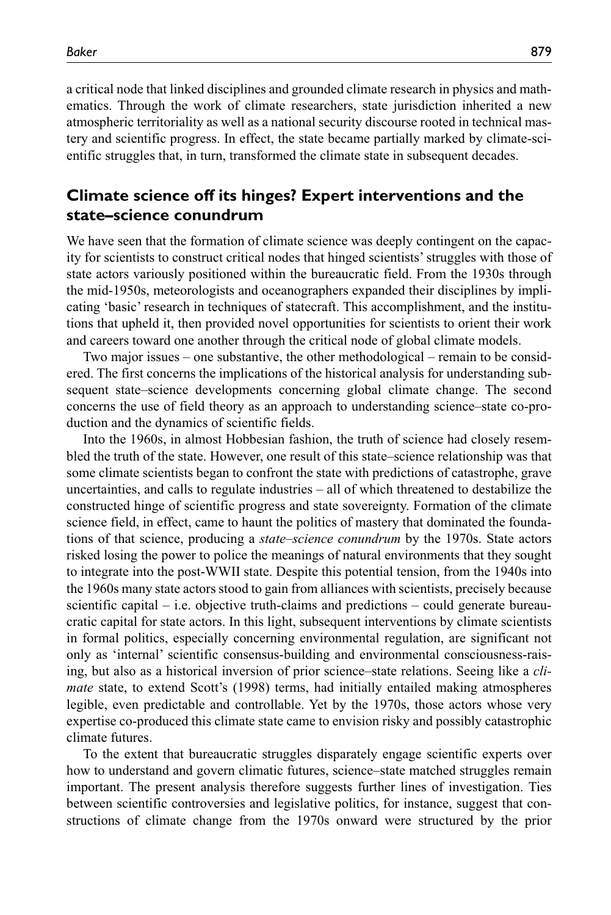a critical node that linked disciplines and grounded climate research in physics and mathematics. Through the work of climate researchers, state jurisdiction inherited a new atmospheric territoriality as well as a national security discourse rooted in technical mastery and scientific progress. In effect, the state became partially marked by climate-scientific struggles that, in turn, transformed the climate state in subsequent decades.

## **Climate science off its hinges? Expert interventions and the state–science conundrum**

We have seen that the formation of climate science was deeply contingent on the capacity for scientists to construct critical nodes that hinged scientists' struggles with those of state actors variously positioned within the bureaucratic field. From the 1930s through the mid-1950s, meteorologists and oceanographers expanded their disciplines by implicating 'basic' research in techniques of statecraft. This accomplishment, and the institutions that upheld it, then provided novel opportunities for scientists to orient their work and careers toward one another through the critical node of global climate models.

Two major issues – one substantive, the other methodological – remain to be considered. The first concerns the implications of the historical analysis for understanding subsequent state–science developments concerning global climate change. The second concerns the use of field theory as an approach to understanding science–state co-production and the dynamics of scientific fields.

Into the 1960s, in almost Hobbesian fashion, the truth of science had closely resembled the truth of the state. However, one result of this state–science relationship was that some climate scientists began to confront the state with predictions of catastrophe, grave uncertainties, and calls to regulate industries – all of which threatened to destabilize the constructed hinge of scientific progress and state sovereignty. Formation of the climate science field, in effect, came to haunt the politics of mastery that dominated the foundations of that science, producing a *state–science conundrum* by the 1970s. State actors risked losing the power to police the meanings of natural environments that they sought to integrate into the post-WWII state. Despite this potential tension, from the 1940s into the 1960s many state actors stood to gain from alliances with scientists, precisely because scientific capital – i.e. objective truth-claims and predictions – could generate bureaucratic capital for state actors. In this light, subsequent interventions by climate scientists in formal politics, especially concerning environmental regulation, are significant not only as 'internal' scientific consensus-building and environmental consciousness-raising, but also as a historical inversion of prior science–state relations. Seeing like a *climate* state, to extend Scott's (1998) terms, had initially entailed making atmospheres legible, even predictable and controllable. Yet by the 1970s, those actors whose very expertise co-produced this climate state came to envision risky and possibly catastrophic climate futures.

To the extent that bureaucratic struggles disparately engage scientific experts over how to understand and govern climatic futures, science–state matched struggles remain important. The present analysis therefore suggests further lines of investigation. Ties between scientific controversies and legislative politics, for instance, suggest that constructions of climate change from the 1970s onward were structured by the prior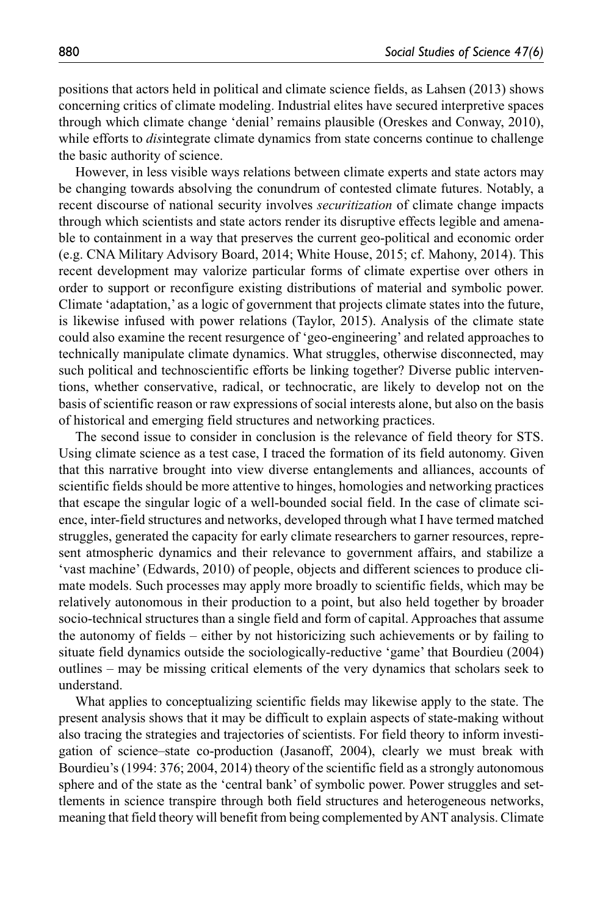positions that actors held in political and climate science fields, as Lahsen (2013) shows concerning critics of climate modeling. Industrial elites have secured interpretive spaces through which climate change 'denial' remains plausible (Oreskes and Conway, 2010), while efforts to *dis*integrate climate dynamics from state concerns continue to challenge the basic authority of science.

However, in less visible ways relations between climate experts and state actors may be changing towards absolving the conundrum of contested climate futures. Notably, a recent discourse of national security involves *securitization* of climate change impacts through which scientists and state actors render its disruptive effects legible and amenable to containment in a way that preserves the current geo-political and economic order (e.g. CNA Military Advisory Board, 2014; White House, 2015; cf. Mahony, 2014). This recent development may valorize particular forms of climate expertise over others in order to support or reconfigure existing distributions of material and symbolic power. Climate 'adaptation,' as a logic of government that projects climate states into the future, is likewise infused with power relations (Taylor, 2015). Analysis of the climate state could also examine the recent resurgence of 'geo-engineering' and related approaches to technically manipulate climate dynamics. What struggles, otherwise disconnected, may such political and technoscientific efforts be linking together? Diverse public interventions, whether conservative, radical, or technocratic, are likely to develop not on the basis of scientific reason or raw expressions of social interests alone, but also on the basis of historical and emerging field structures and networking practices.

The second issue to consider in conclusion is the relevance of field theory for STS. Using climate science as a test case, I traced the formation of its field autonomy. Given that this narrative brought into view diverse entanglements and alliances, accounts of scientific fields should be more attentive to hinges, homologies and networking practices that escape the singular logic of a well-bounded social field. In the case of climate science, inter-field structures and networks, developed through what I have termed matched struggles, generated the capacity for early climate researchers to garner resources, represent atmospheric dynamics and their relevance to government affairs, and stabilize a 'vast machine' (Edwards, 2010) of people, objects and different sciences to produce climate models. Such processes may apply more broadly to scientific fields, which may be relatively autonomous in their production to a point, but also held together by broader socio-technical structures than a single field and form of capital. Approaches that assume the autonomy of fields – either by not historicizing such achievements or by failing to situate field dynamics outside the sociologically-reductive 'game' that Bourdieu (2004) outlines – may be missing critical elements of the very dynamics that scholars seek to understand.

What applies to conceptualizing scientific fields may likewise apply to the state. The present analysis shows that it may be difficult to explain aspects of state-making without also tracing the strategies and trajectories of scientists. For field theory to inform investigation of science–state co-production (Jasanoff, 2004), clearly we must break with Bourdieu's (1994: 376; 2004, 2014) theory of the scientific field as a strongly autonomous sphere and of the state as the 'central bank' of symbolic power. Power struggles and settlements in science transpire through both field structures and heterogeneous networks, meaning that field theory will benefit from being complemented by ANT analysis. Climate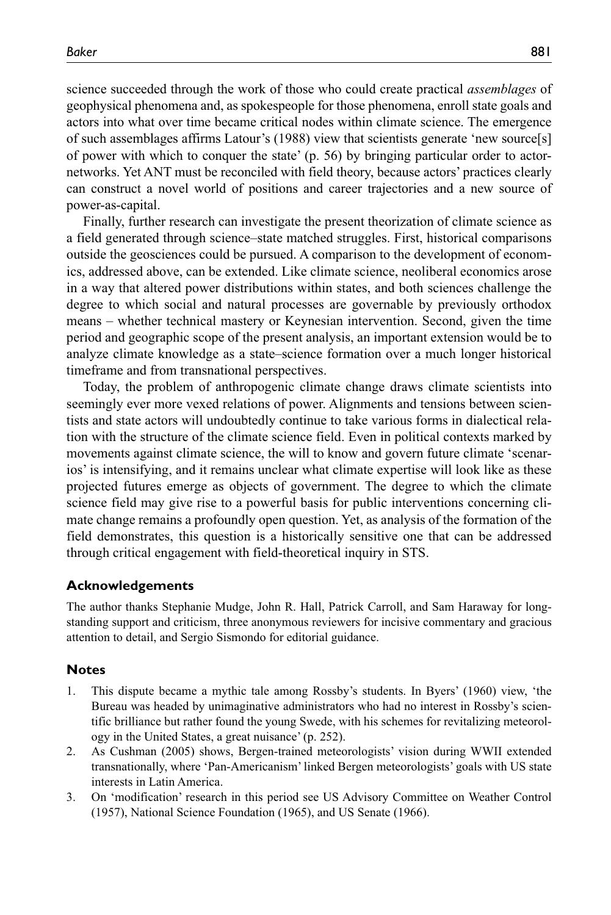science succeeded through the work of those who could create practical *assemblages* of geophysical phenomena and, as spokespeople for those phenomena, enroll state goals and actors into what over time became critical nodes within climate science. The emergence of such assemblages affirms Latour's (1988) view that scientists generate 'new source[s] of power with which to conquer the state' (p. 56) by bringing particular order to actornetworks. Yet ANT must be reconciled with field theory, because actors' practices clearly can construct a novel world of positions and career trajectories and a new source of power-as-capital.

Finally, further research can investigate the present theorization of climate science as a field generated through science–state matched struggles. First, historical comparisons outside the geosciences could be pursued. A comparison to the development of economics, addressed above, can be extended. Like climate science, neoliberal economics arose in a way that altered power distributions within states, and both sciences challenge the degree to which social and natural processes are governable by previously orthodox means – whether technical mastery or Keynesian intervention. Second, given the time period and geographic scope of the present analysis, an important extension would be to analyze climate knowledge as a state–science formation over a much longer historical timeframe and from transnational perspectives.

Today, the problem of anthropogenic climate change draws climate scientists into seemingly ever more vexed relations of power. Alignments and tensions between scientists and state actors will undoubtedly continue to take various forms in dialectical relation with the structure of the climate science field. Even in political contexts marked by movements against climate science, the will to know and govern future climate 'scenarios' is intensifying, and it remains unclear what climate expertise will look like as these projected futures emerge as objects of government. The degree to which the climate science field may give rise to a powerful basis for public interventions concerning climate change remains a profoundly open question. Yet, as analysis of the formation of the field demonstrates, this question is a historically sensitive one that can be addressed through critical engagement with field-theoretical inquiry in STS.

#### **Acknowledgements**

The author thanks Stephanie Mudge, John R. Hall, Patrick Carroll, and Sam Haraway for longstanding support and criticism, three anonymous reviewers for incisive commentary and gracious attention to detail, and Sergio Sismondo for editorial guidance.

#### **Notes**

- 1. This dispute became a mythic tale among Rossby's students. In Byers' (1960) view, 'the Bureau was headed by unimaginative administrators who had no interest in Rossby's scientific brilliance but rather found the young Swede, with his schemes for revitalizing meteorology in the United States, a great nuisance' (p. 252).
- 2. As Cushman (2005) shows, Bergen-trained meteorologists' vision during WWII extended transnationally, where 'Pan-Americanism' linked Bergen meteorologists' goals with US state interests in Latin America.
- 3. On 'modification' research in this period see US Advisory Committee on Weather Control (1957), National Science Foundation (1965), and US Senate (1966).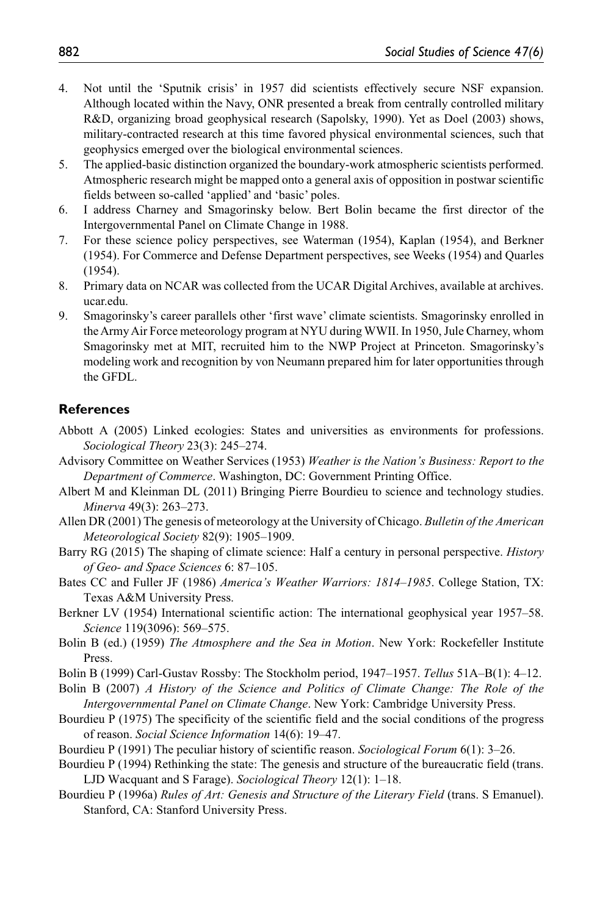- 4. Not until the 'Sputnik crisis' in 1957 did scientists effectively secure NSF expansion. Although located within the Navy, ONR presented a break from centrally controlled military R&D, organizing broad geophysical research (Sapolsky, 1990). Yet as Doel (2003) shows, military-contracted research at this time favored physical environmental sciences, such that geophysics emerged over the biological environmental sciences.
- 5. The applied-basic distinction organized the boundary-work atmospheric scientists performed. Atmospheric research might be mapped onto a general axis of opposition in postwar scientific fields between so-called 'applied' and 'basic' poles.
- 6. I address Charney and Smagorinsky below. Bert Bolin became the first director of the Intergovernmental Panel on Climate Change in 1988.
- 7. For these science policy perspectives, see Waterman (1954), Kaplan (1954), and Berkner (1954). For Commerce and Defense Department perspectives, see Weeks (1954) and Quarles (1954).
- 8. Primary data on NCAR was collected from the UCAR Digital Archives, available at archives. ucar.edu.
- 9. Smagorinsky's career parallels other 'first wave' climate scientists. Smagorinsky enrolled in the Army Air Force meteorology program at NYU during WWII. In 1950, Jule Charney, whom Smagorinsky met at MIT, recruited him to the NWP Project at Princeton. Smagorinsky's modeling work and recognition by von Neumann prepared him for later opportunities through the GFDL.

## **References**

- Abbott A (2005) Linked ecologies: States and universities as environments for professions. *Sociological Theory* 23(3): 245–274.
- Advisory Committee on Weather Services (1953) *Weather is the Nation's Business: Report to the Department of Commerce*. Washington, DC: Government Printing Office.
- Albert M and Kleinman DL (2011) Bringing Pierre Bourdieu to science and technology studies. *Minerva* 49(3): 263–273.
- Allen DR (2001) The genesis of meteorology at the University of Chicago. *Bulletin of the American Meteorological Society* 82(9): 1905–1909.
- Barry RG (2015) The shaping of climate science: Half a century in personal perspective. *History of Geo- and Space Sciences* 6: 87–105.
- Bates CC and Fuller JF (1986) *America's Weather Warriors: 1814–1985*. College Station, TX: Texas A&M University Press.
- Berkner LV (1954) International scientific action: The international geophysical year 1957–58. *Science* 119(3096): 569–575.
- Bolin B (ed.) (1959) *The Atmosphere and the Sea in Motion*. New York: Rockefeller Institute Press.
- Bolin B (1999) Carl-Gustav Rossby: The Stockholm period, 1947–1957. *Tellus* 51A–B(1): 4–12.
- Bolin B (2007) *A History of the Science and Politics of Climate Change: The Role of the Intergovernmental Panel on Climate Change*. New York: Cambridge University Press.
- Bourdieu P (1975) The specificity of the scientific field and the social conditions of the progress of reason. *Social Science Information* 14(6): 19–47.
- Bourdieu P (1991) The peculiar history of scientific reason. *Sociological Forum* 6(1): 3–26.
- Bourdieu P (1994) Rethinking the state: The genesis and structure of the bureaucratic field (trans. LJD Wacquant and S Farage). *Sociological Theory* 12(1): 1–18.
- Bourdieu P (1996a) *Rules of Art: Genesis and Structure of the Literary Field* (trans. S Emanuel). Stanford, CA: Stanford University Press.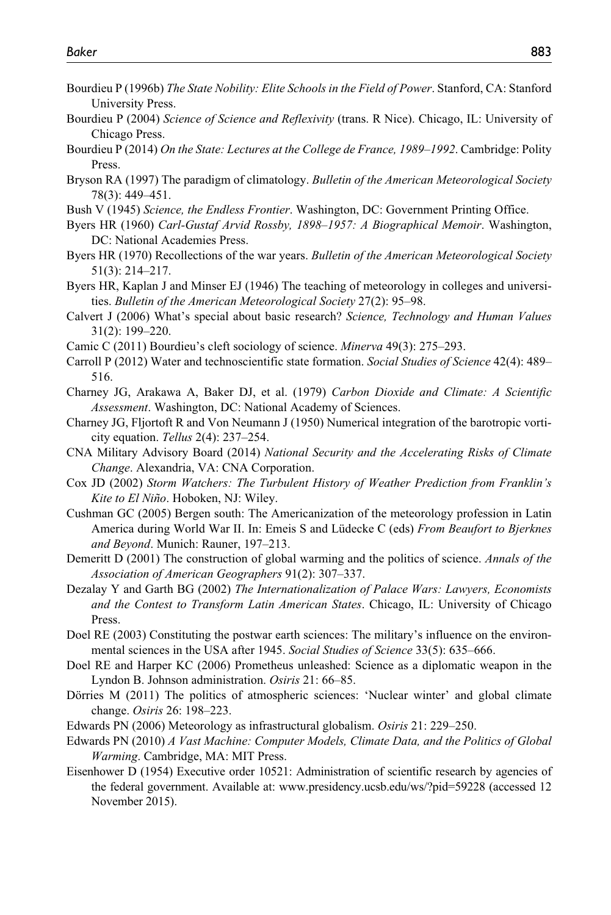- Bourdieu P (1996b) *The State Nobility: Elite Schools in the Field of Power*. Stanford, CA: Stanford University Press.
- Bourdieu P (2004) *Science of Science and Reflexivity* (trans. R Nice). Chicago, IL: University of Chicago Press.
- Bourdieu P (2014) *On the State: Lectures at the College de France, 1989–1992*. Cambridge: Polity Press.
- Bryson RA (1997) The paradigm of climatology. *Bulletin of the American Meteorological Society* 78(3): 449–451.
- Bush V (1945) *Science, the Endless Frontier*. Washington, DC: Government Printing Office.
- Byers HR (1960) *Carl-Gustaf Arvid Rossby, 1898–1957: A Biographical Memoir*. Washington, DC: National Academies Press.
- Byers HR (1970) Recollections of the war years. *Bulletin of the American Meteorological Society* 51(3): 214–217.
- Byers HR, Kaplan J and Minser EJ (1946) The teaching of meteorology in colleges and universities. *Bulletin of the American Meteorological Society* 27(2): 95–98.
- Calvert J (2006) What's special about basic research? *Science, Technology and Human Values* 31(2): 199–220.
- Camic C (2011) Bourdieu's cleft sociology of science. *Minerva* 49(3): 275–293.
- Carroll P (2012) Water and technoscientific state formation. *Social Studies of Science* 42(4): 489– 516.
- Charney JG, Arakawa A, Baker DJ, et al. (1979) *Carbon Dioxide and Climate: A Scientific Assessment*. Washington, DC: National Academy of Sciences.
- Charney JG, Fljortoft R and Von Neumann J (1950) Numerical integration of the barotropic vorticity equation. *Tellus* 2(4): 237–254.
- CNA Military Advisory Board (2014) *National Security and the Accelerating Risks of Climate Change*. Alexandria, VA: CNA Corporation.
- Cox JD (2002) *Storm Watchers: The Turbulent History of Weather Prediction from Franklin's Kite to El Niño*. Hoboken, NJ: Wiley.
- Cushman GC (2005) Bergen south: The Americanization of the meteorology profession in Latin America during World War II. In: Emeis S and Lüdecke C (eds) *From Beaufort to Bjerknes and Beyond*. Munich: Rauner, 197–213.
- Demeritt D (2001) The construction of global warming and the politics of science. *Annals of the Association of American Geographers* 91(2): 307–337.
- Dezalay Y and Garth BG (2002) *The Internationalization of Palace Wars: Lawyers, Economists and the Contest to Transform Latin American States*. Chicago, IL: University of Chicago Press.
- Doel RE (2003) Constituting the postwar earth sciences: The military's influence on the environmental sciences in the USA after 1945. *Social Studies of Science* 33(5): 635–666.
- Doel RE and Harper KC (2006) Prometheus unleashed: Science as a diplomatic weapon in the Lyndon B. Johnson administration. *Osiris* 21: 66–85.
- Dörries M (2011) The politics of atmospheric sciences: 'Nuclear winter' and global climate change. *Osiris* 26: 198–223.
- Edwards PN (2006) Meteorology as infrastructural globalism. *Osiris* 21: 229–250.
- Edwards PN (2010) *A Vast Machine: Computer Models, Climate Data, and the Politics of Global Warming*. Cambridge, MA: MIT Press.
- Eisenhower D (1954) Executive order 10521: Administration of scientific research by agencies of the federal government. Available at: [www.presidency.ucsb.edu/ws/?pid=59228](http://www.presidency.ucsb.edu/ws/?pid=59228) (accessed 12 November 2015).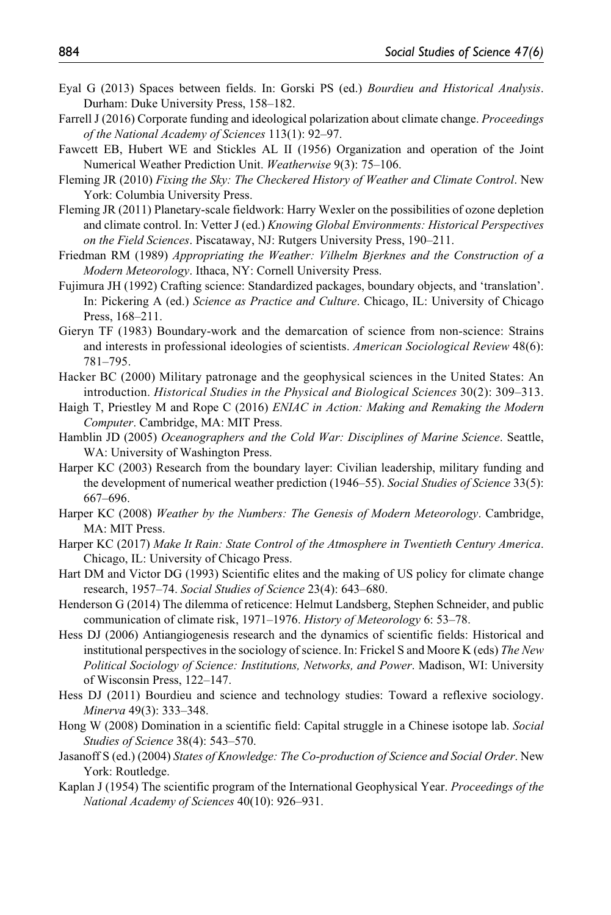- Eyal G (2013) Spaces between fields. In: Gorski PS (ed.) *Bourdieu and Historical Analysis*. Durham: Duke University Press, 158–182.
- Farrell J (2016) Corporate funding and ideological polarization about climate change. *Proceedings of the National Academy of Sciences* 113(1): 92–97.
- Fawcett EB, Hubert WE and Stickles AL II (1956) Organization and operation of the Joint Numerical Weather Prediction Unit. *Weatherwise* 9(3): 75–106.
- Fleming JR (2010) *Fixing the Sky: The Checkered History of Weather and Climate Control*. New York: Columbia University Press.
- Fleming JR (2011) Planetary-scale fieldwork: Harry Wexler on the possibilities of ozone depletion and climate control. In: Vetter J (ed.) *Knowing Global Environments: Historical Perspectives on the Field Sciences*. Piscataway, NJ: Rutgers University Press, 190–211.
- Friedman RM (1989) *Appropriating the Weather: Vilhelm Bjerknes and the Construction of a Modern Meteorology*. Ithaca, NY: Cornell University Press.
- Fujimura JH (1992) Crafting science: Standardized packages, boundary objects, and 'translation'. In: Pickering A (ed.) *Science as Practice and Culture*. Chicago, IL: University of Chicago Press, 168–211.
- Gieryn TF (1983) Boundary-work and the demarcation of science from non-science: Strains and interests in professional ideologies of scientists. *American Sociological Review* 48(6): 781–795.
- Hacker BC (2000) Military patronage and the geophysical sciences in the United States: An introduction. *Historical Studies in the Physical and Biological Sciences* 30(2): 309–313.
- Haigh T, Priestley M and Rope C (2016) *ENIAC in Action: Making and Remaking the Modern Computer*. Cambridge, MA: MIT Press.
- Hamblin JD (2005) *Oceanographers and the Cold War: Disciplines of Marine Science*. Seattle, WA: University of Washington Press.
- Harper KC (2003) Research from the boundary layer: Civilian leadership, military funding and the development of numerical weather prediction (1946–55). *Social Studies of Science* 33(5): 667–696.
- Harper KC (2008) *Weather by the Numbers: The Genesis of Modern Meteorology*. Cambridge, MA: MIT Press.
- Harper KC (2017) *Make It Rain: State Control of the Atmosphere in Twentieth Century America*. Chicago, IL: University of Chicago Press.
- Hart DM and Victor DG (1993) Scientific elites and the making of US policy for climate change research, 1957–74. *Social Studies of Science* 23(4): 643–680.
- Henderson G (2014) The dilemma of reticence: Helmut Landsberg, Stephen Schneider, and public communication of climate risk, 1971–1976. *History of Meteorology* 6: 53–78.
- Hess DJ (2006) Antiangiogenesis research and the dynamics of scientific fields: Historical and institutional perspectives in the sociology of science. In: Frickel S and Moore K (eds) *The New Political Sociology of Science: Institutions, Networks, and Power*. Madison, WI: University of Wisconsin Press, 122–147.
- Hess DJ (2011) Bourdieu and science and technology studies: Toward a reflexive sociology. *Minerva* 49(3): 333–348.
- Hong W (2008) Domination in a scientific field: Capital struggle in a Chinese isotope lab. *Social Studies of Science* 38(4): 543–570.
- Jasanoff S (ed.) (2004) *States of Knowledge: The Co-production of Science and Social Order*. New York: Routledge.
- Kaplan J (1954) The scientific program of the International Geophysical Year. *Proceedings of the National Academy of Sciences* 40(10): 926–931.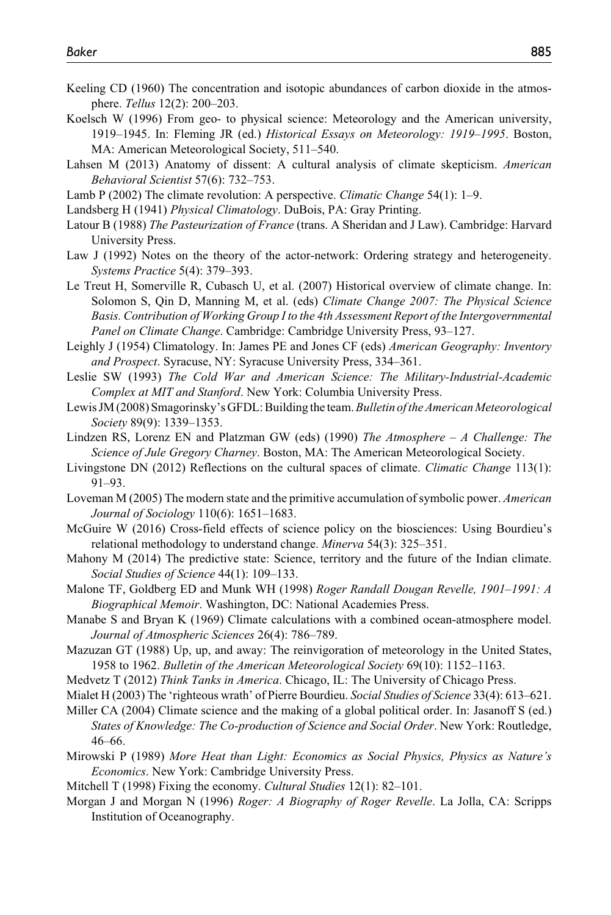- Keeling CD (1960) The concentration and isotopic abundances of carbon dioxide in the atmosphere. *Tellus* 12(2): 200–203.
- Koelsch W (1996) From geo- to physical science: Meteorology and the American university, 1919–1945. In: Fleming JR (ed.) *Historical Essays on Meteorology: 1919–1995*. Boston, MA: American Meteorological Society, 511–540.
- Lahsen M (2013) Anatomy of dissent: A cultural analysis of climate skepticism. *American Behavioral Scientist* 57(6): 732–753.
- Lamb P (2002) The climate revolution: A perspective. *Climatic Change* 54(1): 1–9.
- Landsberg H (1941) *Physical Climatology*. DuBois, PA: Gray Printing.
- Latour B (1988) *The Pasteurization of France* (trans. A Sheridan and J Law). Cambridge: Harvard University Press.
- Law J (1992) Notes on the theory of the actor-network: Ordering strategy and heterogeneity. *Systems Practice* 5(4): 379–393.
- Le Treut H, Somerville R, Cubasch U, et al. (2007) Historical overview of climate change. In: Solomon S, Qin D, Manning M, et al. (eds) *Climate Change 2007: The Physical Science Basis. Contribution of Working Group I to the 4th Assessment Report of the Intergovernmental Panel on Climate Change*. Cambridge: Cambridge University Press, 93–127.
- Leighly J (1954) Climatology. In: James PE and Jones CF (eds) *American Geography: Inventory and Prospect*. Syracuse, NY: Syracuse University Press, 334–361.
- Leslie SW (1993) *The Cold War and American Science: The Military-Industrial-Academic Complex at MIT and Stanford*. New York: Columbia University Press.
- Lewis JM (2008) Smagorinsky's GFDL: Building the team. *Bulletin of the American Meteorological Society* 89(9): 1339–1353.
- Lindzen RS, Lorenz EN and Platzman GW (eds) (1990) *The Atmosphere A Challenge: The Science of Jule Gregory Charney*. Boston, MA: The American Meteorological Society.
- Livingstone DN (2012) Reflections on the cultural spaces of climate. *Climatic Change* 113(1): 91–93.
- Loveman M (2005) The modern state and the primitive accumulation of symbolic power. *American Journal of Sociology* 110(6): 1651–1683.
- McGuire W (2016) Cross-field effects of science policy on the biosciences: Using Bourdieu's relational methodology to understand change. *Minerva* 54(3): 325–351.
- Mahony M (2014) The predictive state: Science, territory and the future of the Indian climate. *Social Studies of Science* 44(1): 109–133.
- Malone TF, Goldberg ED and Munk WH (1998) *Roger Randall Dougan Revelle, 1901–1991: A Biographical Memoir*. Washington, DC: National Academies Press.
- Manabe S and Bryan K (1969) Climate calculations with a combined ocean-atmosphere model. *Journal of Atmospheric Sciences* 26(4): 786–789.
- Mazuzan GT (1988) Up, up, and away: The reinvigoration of meteorology in the United States, 1958 to 1962. *Bulletin of the American Meteorological Society* 69(10): 1152–1163.
- Medvetz T (2012) *Think Tanks in America*. Chicago, IL: The University of Chicago Press.
- Mialet H (2003) The 'righteous wrath' of Pierre Bourdieu. *Social Studies of Science* 33(4): 613–621.
- Miller CA (2004) Climate science and the making of a global political order. In: Jasanoff S (ed.) *States of Knowledge: The Co-production of Science and Social Order*. New York: Routledge, 46–66.
- Mirowski P (1989) *More Heat than Light: Economics as Social Physics, Physics as Nature's Economics*. New York: Cambridge University Press.
- Mitchell T (1998) Fixing the economy. *Cultural Studies* 12(1): 82–101.
- Morgan J and Morgan N (1996) *Roger: A Biography of Roger Revelle*. La Jolla, CA: Scripps Institution of Oceanography.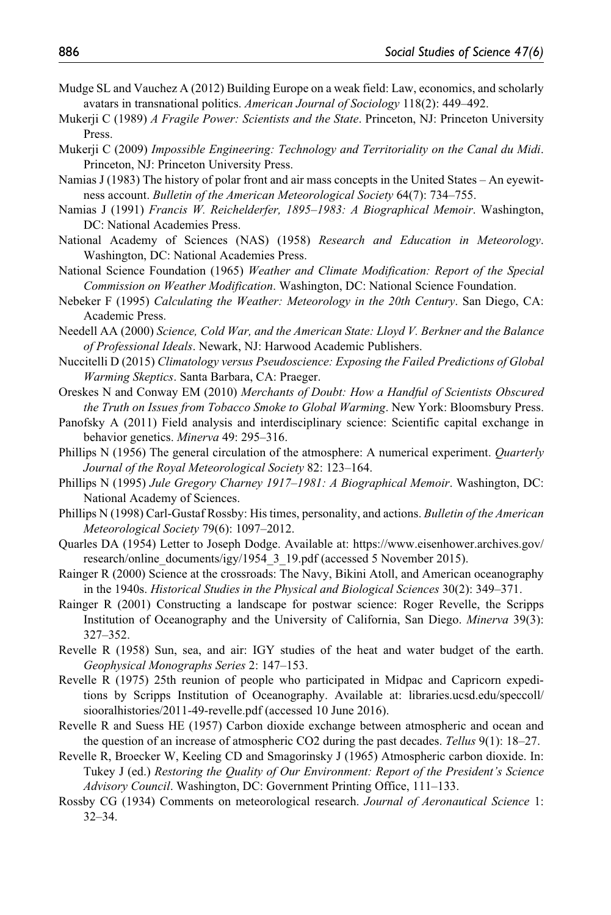- Mudge SL and Vauchez A (2012) Building Europe on a weak field: Law, economics, and scholarly avatars in transnational politics. *American Journal of Sociology* 118(2): 449–492.
- Mukerji C (1989) *A Fragile Power: Scientists and the State*. Princeton, NJ: Princeton University Press.
- Mukerji C (2009) *Impossible Engineering: Technology and Territoriality on the Canal du Midi*. Princeton, NJ: Princeton University Press.
- Namias J (1983) The history of polar front and air mass concepts in the United States An eyewitness account. *Bulletin of the American Meteorological Society* 64(7): 734–755.
- Namias J (1991) *Francis W. Reichelderfer, 1895–1983: A Biographical Memoir*. Washington, DC: National Academies Press.
- National Academy of Sciences (NAS) (1958) *Research and Education in Meteorology*. Washington, DC: National Academies Press.
- National Science Foundation (1965) *Weather and Climate Modification: Report of the Special Commission on Weather Modification*. Washington, DC: National Science Foundation.
- Nebeker F (1995) *Calculating the Weather: Meteorology in the 20th Century*. San Diego, CA: Academic Press.
- Needell AA (2000) *Science, Cold War, and the American State: Lloyd V. Berkner and the Balance of Professional Ideals*. Newark, NJ: Harwood Academic Publishers.
- Nuccitelli D (2015) *Climatology versus Pseudoscience: Exposing the Failed Predictions of Global Warming Skeptics*. Santa Barbara, CA: Praeger.
- Oreskes N and Conway EM (2010) *Merchants of Doubt: How a Handful of Scientists Obscured the Truth on Issues from Tobacco Smoke to Global Warming*. New York: Bloomsbury Press.
- Panofsky A (2011) Field analysis and interdisciplinary science: Scientific capital exchange in behavior genetics. *Minerva* 49: 295–316.
- Phillips N (1956) The general circulation of the atmosphere: A numerical experiment. *Quarterly Journal of the Royal Meteorological Society* 82: 123–164.
- Phillips N (1995) *Jule Gregory Charney 1917–1981: A Biographical Memoir*. Washington, DC: National Academy of Sciences.
- Phillips N (1998) Carl-Gustaf Rossby: His times, personality, and actions. *Bulletin of the American Meteorological Society* 79(6): 1097–2012.
- Quarles DA (1954) Letter to Joseph Dodge. Available at: [https://www.eisenhower.archives.gov/](https://www.eisenhower.archives.gov/research/online_documents/igy/1954_3_19.pdf) [research/online\\_documents/igy/1954\\_3\\_19.pdf](https://www.eisenhower.archives.gov/research/online_documents/igy/1954_3_19.pdf) (accessed 5 November 2015).
- Rainger R (2000) Science at the crossroads: The Navy, Bikini Atoll, and American oceanography in the 1940s. *Historical Studies in the Physical and Biological Sciences* 30(2): 349–371.
- Rainger R (2001) Constructing a landscape for postwar science: Roger Revelle, the Scripps Institution of Oceanography and the University of California, San Diego. *Minerva* 39(3): 327–352.
- Revelle R (1958) Sun, sea, and air: IGY studies of the heat and water budget of the earth. *Geophysical Monographs Series* 2: 147–153.
- Revelle R (1975) 25th reunion of people who participated in Midpac and Capricorn expeditions by Scripps Institution of Oceanography. Available at: libraries.ucsd.edu/speccoll/ siooralhistories/2011-49-revelle.pdf (accessed 10 June 2016).
- Revelle R and Suess HE (1957) Carbon dioxide exchange between atmospheric and ocean and the question of an increase of atmospheric CO2 during the past decades. *Tellus* 9(1): 18–27.
- Revelle R, Broecker W, Keeling CD and Smagorinsky J (1965) Atmospheric carbon dioxide. In: Tukey J (ed.) *Restoring the Quality of Our Environment: Report of the President's Science Advisory Council*. Washington, DC: Government Printing Office, 111–133.
- Rossby CG (1934) Comments on meteorological research. *Journal of Aeronautical Science* 1: 32–34.